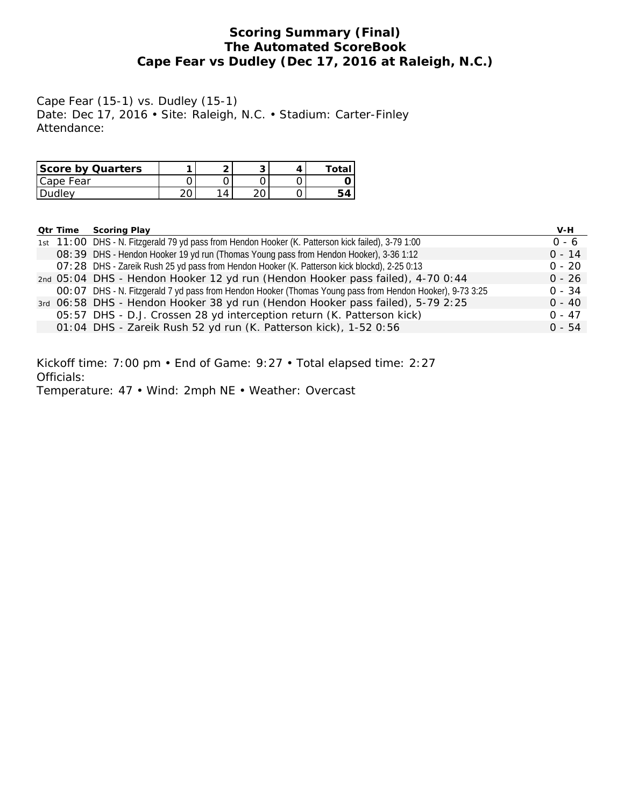# **Scoring Summary (Final) The Automated ScoreBook Cape Fear vs Dudley (Dec 17, 2016 at Raleigh, N.C.)**

Cape Fear (15-1) vs. Dudley (15-1) Date: Dec 17, 2016 • Site: Raleigh, N.C. • Stadium: Carter-Finley Attendance:

| Score by Quarters |   | ◡  |  |
|-------------------|---|----|--|
| Cape Fear         |   |    |  |
| Dudley            | Δ | ∩∩ |  |

| Qtr Time | Scoring Play                                                                                              | V-H      |
|----------|-----------------------------------------------------------------------------------------------------------|----------|
|          | 1st 11:00 DHS - N. Fitzgerald 79 yd pass from Hendon Hooker (K. Patterson kick failed), 3-79 1:00         | $0 - 6$  |
|          | O8: 39 DHS - Hendon Hooker 19 yd run (Thomas Young pass from Hendon Hooker), 3-36 1:12                    | $0 - 14$ |
|          | O7: 28 DHS - Zareik Rush 25 yd pass from Hendon Hooker (K. Patterson kick blockd), 2-25 0:13              | $0 - 20$ |
|          | 2nd 05:04 DHS - Hendon Hooker 12 yd run (Hendon Hooker pass failed), 4-70 0:44                            | $0 - 26$ |
|          | OO: O7 DHS - N. Fitzgerald 7 yd pass from Hendon Hooker (Thomas Young pass from Hendon Hooker), 9-73 3:25 | $0 - 34$ |
|          | 3rd 06:58 DHS - Hendon Hooker 38 yd run (Hendon Hooker pass failed), 5-79 2:25                            | $0 - 40$ |
|          | 05:57 DHS - D.J. Crossen 28 yd interception return (K. Patterson kick)                                    | $0 - 47$ |
|          | 01:04 DHS - Zareik Rush 52 yd run (K. Patterson kick), 1-52 0:56                                          | $0 - 54$ |

Kickoff time: 7:00 pm • End of Game: 9:27 • Total elapsed time: 2:27 Officials:

Temperature: 47 • Wind: 2mph NE • Weather: Overcast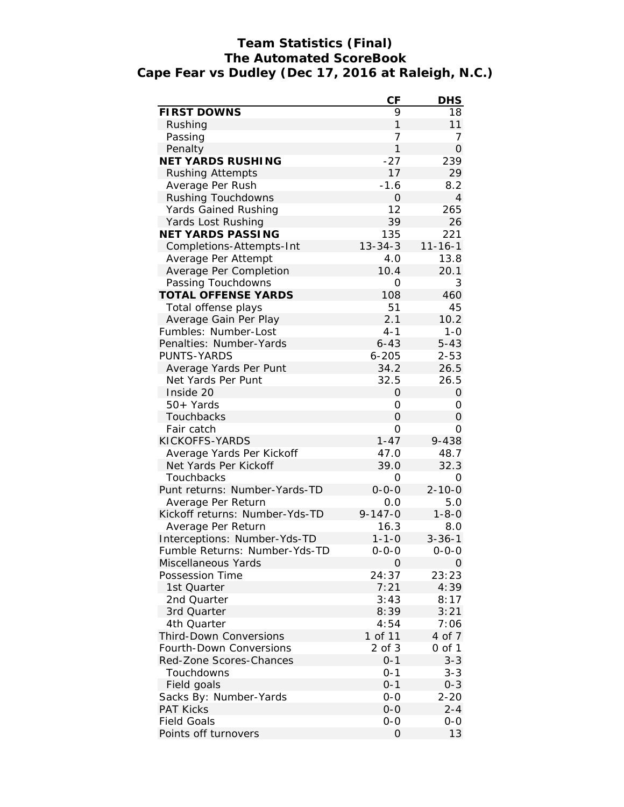# **Team Statistics (Final) The Automated ScoreBook Cape Fear vs Dudley (Dec 17, 2016 at Raleigh, N.C.)**

|                                | CF             | <b>DHS</b>     |
|--------------------------------|----------------|----------------|
| FIRST DOWNS                    | 9              | 18             |
| Rushing                        | $\mathbf{1}$   | 11             |
| Passing                        | $\overline{7}$ | 7              |
| Penalty                        | $\mathbf{1}$   | $\overline{O}$ |
| <b>NET YARDS RUSHING</b>       | $-27$          | 239            |
| <b>Rushing Attempts</b>        | 17             | 29             |
| Average Per Rush               | $-1.6$         | 8.2            |
| Rushing Touchdowns             | 0              | $\overline{4}$ |
| Yards Gained Rushing           | 12             | 265            |
| Yards Lost Rushing             | 39             | 26             |
| NET YARDS PASSING              | 135            | 221            |
| Completions-Attempts-Int       | $13 - 34 - 3$  | $11 - 16 - 1$  |
| Average Per Attempt            | 4.0            | 13.8           |
| Average Per Completion         | 10.4           | 20.1           |
| Passing Touchdowns             | 0              | 3              |
| <b>TOTAL OFFENSE YARDS</b>     | 108            | 460            |
| Total offense plays            | 51             | 45             |
| Average Gain Per Play          | 2.1            | 10.2           |
| Fumbles: Number-Lost           | $4 - 1$        | $1 - 0$        |
| Penalties: Number-Yards        | $6 - 43$       | $5 - 43$       |
| PUNTS-YARDS                    | $6 - 205$      | $2 - 53$       |
| Average Yards Per Punt         | 34.2           | 26.5           |
| Net Yards Per Punt             | 32.5           | 26.5           |
| Inside 20                      | 0              | $\Omega$       |
| 50+ Yards                      | 0              | 0              |
| Touchbacks                     | 0              | $\Omega$       |
| Fair catch                     | 0              | 0              |
| KICKOFFS-YARDS                 | $1 - 47$       | 9-438          |
| Average Yards Per Kickoff      | 47.0           | 48.7           |
| Net Yards Per Kickoff          | 39.0           | 32.3           |
| Touchbacks                     | 0              | 0              |
| Punt returns: Number-Yards-TD  | $0 - 0 - 0$    | $2 - 10 - 0$   |
| Average Per Return             | 0.0            | 5.0            |
| Kickoff returns: Number-Yds-TD | $9 - 147 - 0$  | $1 - 8 - 0$    |
| Average Per Return             | 16.3           | 8.0            |
| Interceptions: Number-Yds-TD   | $1 - 1 - 0$    | $3 - 36 - 1$   |
| Fumble Returns: Number-Yds-TD  | 0-0-0          | $0 - 0 - 0$    |
| Miscellaneous Yards            | 0              | 0              |
| Possession Time                | 24:37          | 23:23          |
| 1st Quarter                    | 7:21           | 4:39           |
| 2nd Quarter                    | 3:43           | 8:17           |
| 3rd Quarter                    | 8:39           | 3:21           |
| 4th Quarter                    | 4:54           | 7:06           |
| <b>Third-Down Conversions</b>  | 1 of 11        | 4 of 7         |
| Fourth-Down Conversions        | $2$ of $3$     | 0 of 1         |
| Red-Zone Scores-Chances        | $0 - 1$        | $3 - 3$        |
| Touchdowns                     | $0 - 1$        | $3 - 3$        |
| Field goals                    | $0 - 1$        | $0 - 3$        |
| Sacks By: Number-Yards         | $O-O$          | $2 - 20$       |
| <b>PAT Kicks</b>               | $O-O$          | 2-4            |
| <b>Field Goals</b>             | $O-O$          | $O-O$          |
| Points off turnovers           | 0              | 13             |
|                                |                |                |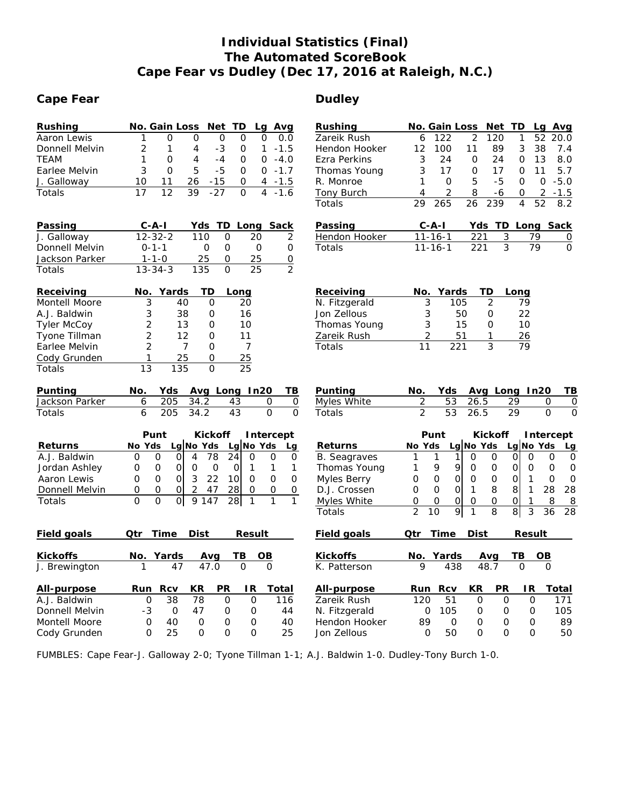# **Individual Statistics (Final) The Automated ScoreBook Cape Fear vs Dudley (Dec 17, 2016 at Raleigh, N.C.)**

# Cape Fear **Cape Fear Dudley**

| Rushing            | No. Gain Loss<br><b>Net</b><br>TD<br>Avg<br>Lg                                                                       | Rushing             | No. Gain Loss<br>Net TD<br>Avg<br>Lg                                                                                                |
|--------------------|----------------------------------------------------------------------------------------------------------------------|---------------------|-------------------------------------------------------------------------------------------------------------------------------------|
| Aaron Lewis        | $\overline{O}$<br>1<br>$\Omega$<br>$\Omega$<br>$\Omega$<br>0.0<br>O                                                  | Zareik Rush         | $\overline{2}$<br>122<br>120<br>1<br>52<br>20.0<br>6                                                                                |
| Donnell Melvin     | 2<br>$-3$<br>1<br>4<br>0<br>1<br>$-1.5$                                                                              | Hendon Hooker       | 12<br>100<br>11<br>89<br>3<br>38<br>7.4                                                                                             |
| <b>TEAM</b>        | $-4.0$<br>1<br>$\mathsf{O}\xspace$<br>$\overline{4}$<br>$-4$<br>0<br>0                                               | Ezra Perkins        | 3<br>24<br>24<br>13<br>8.0<br>$\mathbf 0$<br>0                                                                                      |
| Earlee Melvin      | 3<br>5<br>$-5$<br>$0 - 1.7$<br>$\circ$<br>$\mathbf{O}$                                                               | Thomas Young        | 3<br>17<br>$\mathbf{O}$<br>17<br>11<br>5.7<br>0                                                                                     |
| J. Galloway        | 10<br>11<br>26<br>$-15$<br>O<br>$-1.5$<br>4                                                                          | R. Monroe           | 5<br>$-5$<br>$\Omega$<br>$\mathbf{O}$<br>$-5.0$<br>1<br>$\Omega$                                                                    |
| Totals             | 17<br>$\overline{12}$<br>39<br>$-27$<br>$\overline{O}$<br>$\overline{4}$<br>$-1.6$                                   | Tony Burch          | $\overline{2}$<br>$\overline{2}$<br>8<br>$-1.5$<br>$\overline{4}$<br>$-6$<br>0                                                      |
|                    |                                                                                                                      | Totals              | 265<br>239<br>$\overline{4}$<br>52<br>8.2<br>29<br>26                                                                               |
| Passing            | Long Sack<br>C-A-I<br>Yds<br>TD.                                                                                     | Passing             | $C - A - I$<br>Yds TD Long Sack                                                                                                     |
| J. Galloway        | $12 - 32 - 2$<br>110<br>$\Omega$<br>20<br>2                                                                          | Hendon Hooker       | 3<br>$11 - 16 - 1$<br>221<br>79<br>0                                                                                                |
| Donnell Melvin     | $0 - 1 - 1$<br>$\Omega$<br>$\Omega$<br>$\circ$<br>O                                                                  | Totals              | $\overline{3}$<br>79<br>$\overline{221}$<br>$\Omega$<br>$11 - 16 - 1$                                                               |
| Jackson Parker     | 25<br>25<br>$\Omega$<br>$\overline{O}$<br>$1 - 1 - 0$                                                                |                     |                                                                                                                                     |
| Totals             | $\overline{O}$<br>$\overline{25}$<br>$\overline{2}$<br>$13 - 34 - 3$<br>135                                          |                     |                                                                                                                                     |
| Receiving          | No.<br>Yards<br>ТD<br>Long                                                                                           | Receiving           | Yards<br>TD<br>No.<br>Long                                                                                                          |
| Montell Moore      | 3<br>40<br>$\Omega$<br>20                                                                                            | N. Fitzgerald       | 3<br>$\overline{2}$<br>105<br>79                                                                                                    |
| A.J. Baldwin       | 3<br>38<br>$\mathsf O$<br>16                                                                                         | Jon Zellous         | 3<br>50<br>22<br>$\Omega$                                                                                                           |
| <b>Tyler McCoy</b> | $\overline{2}$<br>13<br>10<br>0                                                                                      | Thomas Young        | 3<br>15<br>$\Omega$<br>10                                                                                                           |
| Tyone Tillman      | $\overline{2}$<br>12<br>0<br>11                                                                                      | Zareik Rush         | $\overline{2}$<br>51<br>1<br>26                                                                                                     |
| Earlee Melvin      | $\overline{2}$<br>$\overline{7}$<br>$\overline{7}$<br>0                                                              | Totals              | 3<br>11<br>221<br>79                                                                                                                |
| Cody Grunden       | 25<br>25<br>$\mathbf{1}$<br>0                                                                                        |                     |                                                                                                                                     |
| Totals             | $\overline{13}$<br>$\overline{O}$<br>$\overline{25}$<br>135                                                          |                     |                                                                                                                                     |
| Punting            | Avg Long In20<br>No.<br>Yds<br>TВ                                                                                    | Punting             | No.<br>Yds<br>Avg_Long_In20<br>TВ                                                                                                   |
| Jackson Parker     | 205<br>34.2<br>6<br>43<br>0<br>$\mathsf{O}\xspace$                                                                   | Myles White         | $\overline{2}$<br>53<br>26.5<br>29<br>$\circ$<br>0                                                                                  |
| Totals             | 205<br>34.2<br>43<br>$\Omega$<br>$\Omega$<br>6                                                                       | Totals              | $\overline{2}$<br>53<br>26.5<br>29<br>$\Omega$<br>$\Omega$                                                                          |
|                    | Punt<br>Kickoff<br>Intercept                                                                                         |                     | Kickoff<br>Punt<br>Intercept                                                                                                        |
| Returns            | Lg No Yds<br>No Yds<br>Lg $No$ Yds<br>Lg                                                                             | Returns             | Lg No Yds<br>No Yds<br>Lg $No$ Yds<br>Lg                                                                                            |
| A.J. Baldwin       | $\overline{78}$<br>$\Omega$<br>$\Omega$<br>$\Omega$<br>$\overline{4}$<br>24<br>$\circ$<br>O<br>0                     | <b>B.</b> Seagraves | 1<br>$\overline{O}$<br>$\overline{O}$<br>$\Omega$<br>$\mathbf 0$<br>1<br>1<br>$\mathbf{O}$<br>0                                     |
| Jordan Ashley      | $\mathbf 0$<br>$\mathsf{O}\xspace$<br>$\mathbf 0$<br>1<br>$\mathbf{1}$<br>0<br>0<br>$\mathsf{O}$<br>1                | Thomas Young        | 9<br>9<br>$\mathbf 0$<br>$\mathsf{O}\xspace$<br>$\Omega$<br>$\mathbf 0$<br>1<br>$\Omega$<br>0                                       |
| Aaron Lewis        | $\overline{O}$<br>$\Omega$<br>$\mathfrak{Z}$<br>22<br>10 <sup>1</sup><br>$\Omega$<br>$\Omega$<br>$\overline{O}$<br>0 | Myles Berry         | $\mathbf 0$<br>$\mathbf 0$<br>$\mathbf 0$<br>$\mathbf 0$<br>$\mathsf{O}\xspace$<br>$\mathbf{1}$<br>$\mathbf{O}$<br>$\mathbf 0$<br>0 |
| Donnell Melvin     | $\mathbf 0$<br>$\overline{2}$<br>0<br>$\Omega$<br>28<br>$\Omega$<br>$\overline{O}$<br>47<br>$\Omega$                 | D.J. Crossen        | 8<br>8<br>$\mathbf{1}$<br>28<br>28<br>$\mathbf{O}$<br>$\Omega$<br>$\Omega$<br>$\mathbf{1}$                                          |
| Totals             | $\overline{0}$<br>$\Omega$<br>$\Omega$<br>9 1 4 7<br>28<br>$\mathbf{1}$<br>$\mathbf{1}$<br>$\mathbf{1}$              | Myles White         | $\overline{O}$<br>$\mathsf O$<br>$\Omega$<br>$\mathbf 0$<br>$\mathsf{O}\xspace$<br>$\mathbf 1$<br>8<br>8<br>0                       |
|                    |                                                                                                                      | Totals              | $\overline{2}$<br>$\overline{8}$<br>3<br>10<br>9<br>$\mathbf{1}$<br>8<br>36<br>28                                                   |
| Field goals        | Time<br>Dist<br>Result<br>Qtr                                                                                        | Field goals         | Dist<br>Result<br>Qtr<br>Time                                                                                                       |
| Kickoffs           | No.<br>Yards<br>TВ<br>OΒ<br>Avg                                                                                      | Kickoffs            | No.<br>Yards<br>Avg<br>TВ<br>OВ                                                                                                     |
| J. Brewington      | 47.0<br>$\Omega$<br>47<br>$\Omega$<br>1                                                                              | K. Patterson        | 9<br>438<br>48.7<br>$\Omega$<br>$\Omega$                                                                                            |
| All-purpose        | KR<br><b>PR</b><br>1R<br>Total<br>Run<br>Rcv                                                                         | All-purpose         | ΚR<br>PR<br>Total<br>Run<br>Rcv<br>IR.                                                                                              |
| A.J. Baldwin       | 38<br>78<br>$\mathcal{O}$<br>$\mathbf{O}$<br>116<br>0                                                                | Zareik Rush         | 120<br>51<br>$\mathbf 0$<br>$\Omega$<br>$\mathbf 0$<br>171                                                                          |
| Donnell Melvin     | $-3$<br>47<br>0<br>44<br>0<br>0                                                                                      | N. Fitzgerald       | 105<br>105<br>0<br>0<br>O<br>0                                                                                                      |
| Montell Moore      | $\Omega$<br>40<br>$\Omega$<br>0<br>40<br>0                                                                           | Hendon Hooker       | 89<br>$\Omega$<br>89<br>$\circ$<br>O<br>0                                                                                           |
| Cody Grunden       | $\Omega$<br>25<br>$\Omega$<br>$\Omega$<br>$\Omega$<br>25                                                             | Jon Zellous         | 50<br>$\Omega$<br>50<br>$\Omega$<br>O<br>$\Omega$                                                                                   |

FUMBLES: Cape Fear-J. Galloway 2-0; Tyone Tillman 1-1; A.J. Baldwin 1-0. Dudley-Tony Burch 1-0.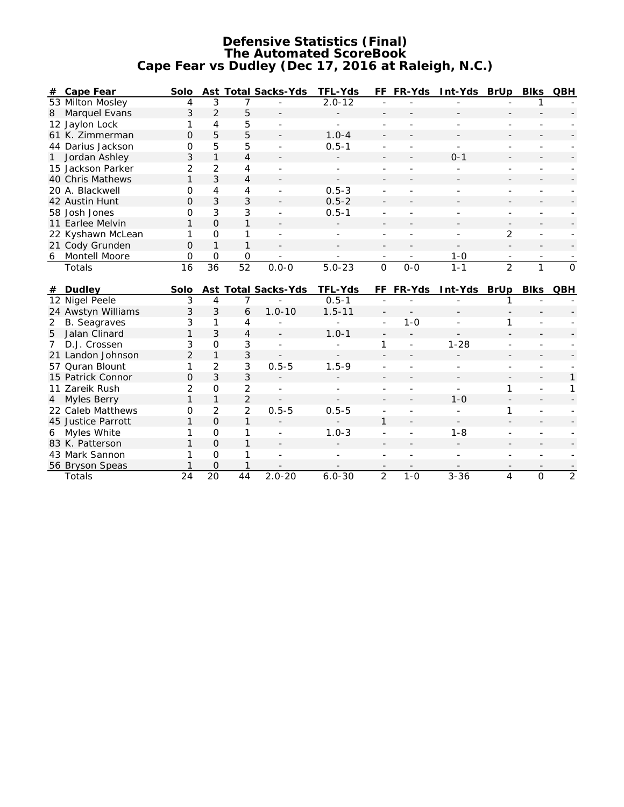#### **Defensive Statistics (Final) The Automated ScoreBook Cape Fear vs Dudley (Dec 17, 2016 at Raleigh, N.C.)**

| #              | Cape Fear                 | Solo           |                 |                 | Ast Total Sacks-Yds | TFL-Yds                  |                | FF FR-Yds | Int-Yds BrUp |                          | <b>Blks</b>    | QBH            |
|----------------|---------------------------|----------------|-----------------|-----------------|---------------------|--------------------------|----------------|-----------|--------------|--------------------------|----------------|----------------|
|                | 53 Milton Mosley          | 4              | 3               | 7               |                     | $2.0 - 12$               |                |           |              |                          |                |                |
| 8              | Marquel Evans             | 3              | $\overline{2}$  | 5               |                     |                          |                |           |              |                          |                |                |
|                | 12 Jaylon Lock            | 1              | 4               | 5               |                     |                          |                |           |              |                          |                |                |
|                | 61 K. Zimmerman           | O              | 5               | 5               |                     | $1.0 - 4$                |                |           |              |                          |                |                |
|                | 44 Darius Jackson         | O              | 5               | 5               | ÷                   | $0.5 - 1$                | $\overline{a}$ |           | ÷            |                          |                |                |
|                | Jordan Ashley             | 3              | $\mathbf{1}$    | $\overline{4}$  |                     |                          |                |           | $0 - 1$      |                          |                |                |
|                | 15 Jackson Parker         | $\overline{2}$ | 2               | 4               |                     | $\overline{\phantom{a}}$ |                |           |              |                          |                |                |
|                | 40 Chris Mathews          | 1              | 3               | $\overline{4}$  |                     |                          |                |           |              |                          |                |                |
|                | 20 A. Blackwell           | O              | 4               | 4               |                     | $0.5 - 3$                |                |           |              |                          |                |                |
|                | 42 Austin Hunt            | $\Omega$       | 3               | 3               |                     | $0.5 - 2$                |                |           |              |                          |                |                |
|                | 58 Josh Jones             | 0              | 3               | 3               |                     | $0.5 - 1$                |                |           |              | $\overline{a}$           |                |                |
|                | 11 Earlee Melvin          | 1              | 0               | $\mathbf{1}$    |                     |                          |                |           |              |                          |                |                |
|                | 22 Kyshawn McLean         | 1              | $\Omega$        | 1               |                     |                          |                |           |              | $\overline{2}$           |                |                |
|                | 21 Cody Grunden           | 0              | $\mathbf{1}$    | $\mathbf{1}$    |                     |                          |                |           |              |                          |                |                |
| 6              | Montell Moore             | 0              | 0               | $\mathbf 0$     |                     |                          |                |           | $1 - 0$      | $\overline{\phantom{a}}$ |                |                |
|                | Totals                    | 16             | $\overline{36}$ | $\overline{52}$ | $0.0 - 0$           | $5.0 - 23$               | $\overline{0}$ | $0-0$     | $1 - 1$      | $\overline{2}$           | $\mathbf{1}$   | $\Omega$       |
|                |                           |                |                 |                 |                     |                          |                |           |              |                          |                |                |
|                |                           |                |                 |                 |                     |                          |                |           |              |                          |                |                |
| #              | Dudley                    | Solo           |                 |                 | Ast Total Sacks-Yds | TFL-Yds                  | FF.            | FR-Yds    | Int-Yds BrUp |                          | <b>Blks</b>    | QBH            |
|                | 12 Nigel Peele            | 3              | 4               | 7               |                     | $0.5 - 1$                |                |           |              |                          |                |                |
|                | 24 Awstyn Williams        | 3              | 3               | 6               | $1.0 - 10$          | $1.5 - 11$               |                |           |              |                          |                |                |
| $\overline{2}$ | <b>B.</b> Seagraves       | 3              | 1               | 4               |                     |                          | $\sim$         | $1 - 0$   |              | 1                        |                |                |
| 5              | Jalan Clinard             | 1              | 3               | $\overline{4}$  |                     | $1.0 - 1$                |                |           |              |                          |                |                |
| 7              | D.J. Crossen              | 3              | 0               | 3               |                     |                          | 1              | ÷,        | $1 - 28$     |                          |                |                |
|                | 21 Landon Johnson         | $\overline{2}$ | $\mathbf{1}$    | 3               |                     |                          |                |           |              |                          |                |                |
|                | 57 Quran Blount           | 1              | $\overline{2}$  | 3               | $0.5 - 5$           | $1.5 - 9$                |                |           |              |                          |                |                |
|                | 15 Patrick Connor         | $\Omega$       | 3               | 3               |                     |                          |                |           |              |                          |                |                |
|                | 11 Zareik Rush            | 2              | 0               | 2               |                     |                          |                |           |              | 1                        |                |                |
|                | 4 Myles Berry             | 1              | $\mathbf{1}$    | $\overline{2}$  |                     |                          |                |           | $1 - 0$      |                          |                |                |
|                | 22 Caleb Matthews         | 0              | $\overline{2}$  | $\overline{2}$  | $0.5 - 5$           | $0.5 - 5$                |                |           |              | 1                        |                |                |
|                | 45 Justice Parrott        | 1              | $\Omega$        | $\mathbf{1}$    |                     |                          | $\mathbf{1}$   |           |              |                          |                |                |
| 6              | Myles White               | 1              | $\overline{O}$  | 1               |                     | $1.0 - 3$                |                |           | $1 - 8$      |                          |                |                |
|                | 83 K. Patterson           |                | $\Omega$        | $\mathbf{1}$    |                     |                          |                |           |              |                          |                |                |
|                | 43 Mark Sannon            |                | $\Omega$        | 1               |                     |                          |                |           |              |                          |                |                |
|                | 56 Bryson Speas<br>Totals | 24             | 0<br>20         | 1<br>44         | $2.0 - 20$          | $6.0 - 30$               | $\overline{2}$ | $1 - 0$   | $3 - 36$     | 4                        | $\overline{O}$ | $\overline{2}$ |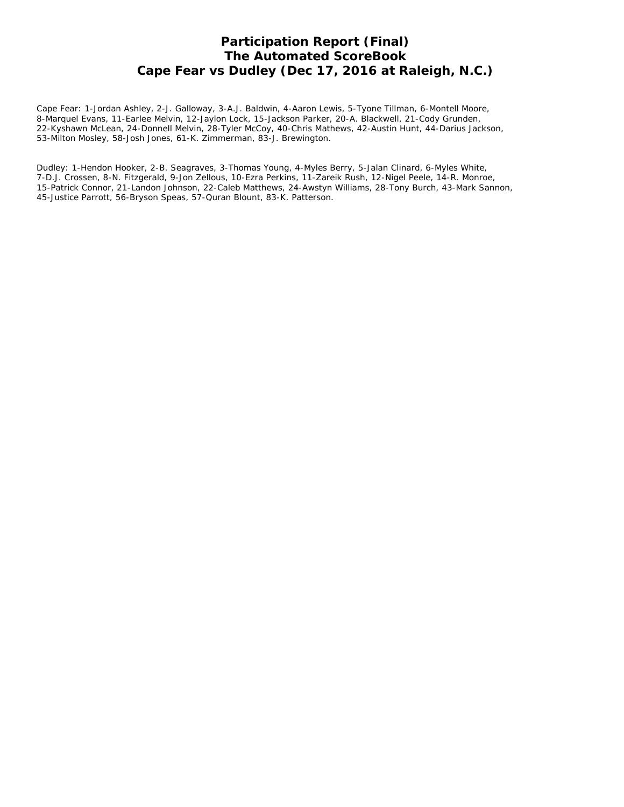# **Participation Report (Final) The Automated ScoreBook Cape Fear vs Dudley (Dec 17, 2016 at Raleigh, N.C.)**

Cape Fear: 1-Jordan Ashley, 2-J. Galloway, 3-A.J. Baldwin, 4-Aaron Lewis, 5-Tyone Tillman, 6-Montell Moore, 8-Marquel Evans, 11-Earlee Melvin, 12-Jaylon Lock, 15-Jackson Parker, 20-A. Blackwell, 21-Cody Grunden, 22-Kyshawn McLean, 24-Donnell Melvin, 28-Tyler McCoy, 40-Chris Mathews, 42-Austin Hunt, 44-Darius Jackson, 53-Milton Mosley, 58-Josh Jones, 61-K. Zimmerman, 83-J. Brewington.

Dudley: 1-Hendon Hooker, 2-B. Seagraves, 3-Thomas Young, 4-Myles Berry, 5-Jalan Clinard, 6-Myles White, 7-D.J. Crossen, 8-N. Fitzgerald, 9-Jon Zellous, 10-Ezra Perkins, 11-Zareik Rush, 12-Nigel Peele, 14-R. Monroe, 15-Patrick Connor, 21-Landon Johnson, 22-Caleb Matthews, 24-Awstyn Williams, 28-Tony Burch, 43-Mark Sannon, 45-Justice Parrott, 56-Bryson Speas, 57-Quran Blount, 83-K. Patterson.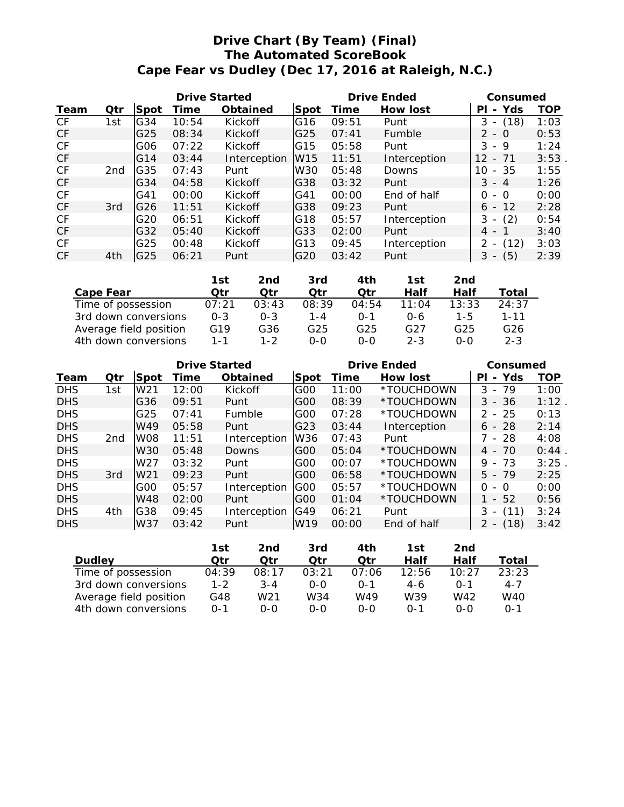# **Drive Chart (By Team) (Final) The Automated ScoreBook Cape Fear vs Dudley (Dec 17, 2016 at Raleigh, N.C.)**

| Drive Started |                 |                 |       | Drive Ended  | Consumed        |       |              |                                       |            |
|---------------|-----------------|-----------------|-------|--------------|-----------------|-------|--------------|---------------------------------------|------------|
| Team          | Otr             | Spot            | Time  | Obtained     | Spot            | Time  | How lost     | Yds<br>РI<br>$\overline{\phantom{a}}$ | <b>TOP</b> |
| CF            | 1st             | G34             | 10:54 | Kickoff      | G <sub>16</sub> | 09:51 | Punt         | 3<br>(18)                             | 1:03       |
| CF            |                 | G25             | 08:34 | Kickoff      | G25             | 07:41 | Fumble       | $2 - 0$                               | 0:53       |
| CF            |                 | G06             | 07:22 | Kickoff      | IG15            | 05:58 | Punt         | - 9<br>3                              | 1:24       |
| CF            |                 | G14             | 03:44 | Interception | W15             | 11:51 | Interception | $12 \overline{ }$<br>$-71$            | 3:53       |
| CF            | 2 <sub>nd</sub> | G35             | 07:43 | Punt         | W30             | 05:48 | Downs        | $-35$<br>10                           | 1:55       |
| CF            |                 | G34             | 04:58 | Kickoff      | G38             | 03:32 | Punt         | $3 - 4$                               | 1:26       |
| CF            |                 | G41             | 00:00 | Kickoff      | G41             | 00:00 | End of half  | - 0<br>0                              | 0:00       |
| CF            | 3rd             | G <sub>26</sub> | 11:51 | Kickoff      | G38             | 09:23 | Punt         | $6 - 12$                              | 2:28       |
| CF            |                 | G20             | 06:51 | Kickoff      | G <sub>18</sub> | 05:57 | Interception | (2)<br>3<br>$\overline{\phantom{a}}$  | 0:54       |
| CF            |                 | G32             | 05:40 | Kickoff      | G33             | 02:00 | Punt         | 4 - 1                                 | 3:40       |
| CF            |                 | G25             | 00:48 | Kickoff      | G13             | 09:45 | Interception | (12)                                  | 3:03       |
| CF.           | 4th             | G25             | 06:21 | Punt         | G20             | 03:42 | Punt         | (5)<br>3<br>$\overline{\phantom{a}}$  | 2:39       |

|                        | 1st             | 2nd     | 3rd   | 4th      | 1st     | 2nd   |                 |
|------------------------|-----------------|---------|-------|----------|---------|-------|-----------------|
| Cape Fear              | ∩tr             | Otr     | Otr   | Otr      | Half    | Half  | Total           |
| Time of possession     | 07:21           | 03:43   | 08:39 | 04:54    | 11:04   | 13:33 | 24:37           |
| 3rd down conversions   | $0 - 3$         | $0 - 3$ | 1 - 4 | $() - 1$ | 0-6     | 1-5   | $1 - 11$        |
| Average field position | G <sub>19</sub> | G36     | G25   | G25      | G27     | G25   | G <sub>26</sub> |
| 4th down conversions   | $1 - 1$         | $1 - 2$ | റ-റ   | 0-0      | $2 - 3$ | 0-0   | $2 - 3$         |

| <b>Drive Started</b> |                 |                 |       | Drive Ended  | Consumed        |       |              |                                       |            |
|----------------------|-----------------|-----------------|-------|--------------|-----------------|-------|--------------|---------------------------------------|------------|
| Team                 | Qtr             | Spot            | Time  | Obtained     | <b>Spot</b>     | Time  | How lost     | Yds<br>РI<br>$\overline{\phantom{0}}$ | <b>TOP</b> |
| <b>DHS</b>           | 1st             | W <sub>21</sub> | 12:00 | Kickoff      | G <sub>00</sub> | 11:00 | *TOUCHDOWN   | - 79<br>3                             | 1:00       |
| <b>DHS</b>           |                 | G <sub>36</sub> | 09:51 | Punt         | IGOO            | 08:39 | *TOUCHDOWN   | $3 - 36$                              | 1:12       |
| <b>DHS</b>           |                 | G25             | 07:41 | Fumble       | G <sub>00</sub> | 07:28 | *TOUCHDOWN   | $2 - 25$                              | 0:13       |
| <b>DHS</b>           |                 | W49             | 05:58 | Punt         | G23             | 03:44 | Interception | $6 - 28$                              | 2:14       |
| <b>DHS</b>           | 2 <sub>nd</sub> | WO8             | 11:51 | Interception | W36             | 07:43 | Punt         | 7 - 28                                | 4:08       |
| <b>DHS</b>           |                 | W30             | 05:48 | Downs        | IGOO            | 05:04 | *TOUCHDOWN   | 4 - 70                                | 0:44       |
| <b>DHS</b>           |                 | W <sub>27</sub> | 03:32 | Punt         | G00             | 00:07 | *TOUCHDOWN   | $9 - 73$                              | 3:25       |
| <b>DHS</b>           | 3rd             | W <sub>21</sub> | 09:23 | Punt         | IGOO            | 06:58 | *TOUCHDOWN   | $5 - 79$                              | 2:25       |
| <b>DHS</b>           |                 | G00             | 05:57 | Interception | IGOO            | 05:57 | *TOUCHDOWN   | $\Omega$<br>- 0                       | 0:00       |
| <b>DHS</b>           |                 | W48             | 02:00 | Punt         | IGOO            | 01:04 | *TOUCHDOWN   | 1 - 52                                | 0:56       |
| <b>DHS</b>           | 4th             | G38             | 09:45 | Interception | G49             | 06:21 | Punt         | 3<br>(11)<br>$\overline{\phantom{a}}$ | 3:24       |
| <b>DHS</b>           |                 | W37             | 03:42 | Punt         | W19             | 00:00 | End of half  | (18)                                  | 3:42       |

|                        | 1st     | 2nd     | 3rd   | 4th      | 1st.    | 2nd          |         |
|------------------------|---------|---------|-------|----------|---------|--------------|---------|
| Dudley                 | ∩tr     | ∩tr     | Otr   | Otr      | Half    | Half         | Total   |
| Time of possession     | 04:39   | 08:17   | 03:21 | 07:06    | 12:56   | 10:27        | 23:23   |
| 3rd down conversions   | $1 - 2$ | $3 - 4$ | 0-0   | $() - 1$ | 4-6     | $\Omega - 1$ | $4 - 7$ |
| Average field position | G48     | W21     | W34   | W49      | W39     | W42          | W40     |
| 4th down conversions   | $0 - 1$ | റ-റ     | റ-റ   | $O-O$    | $0 - 1$ | ೧-೧          | $0 - 1$ |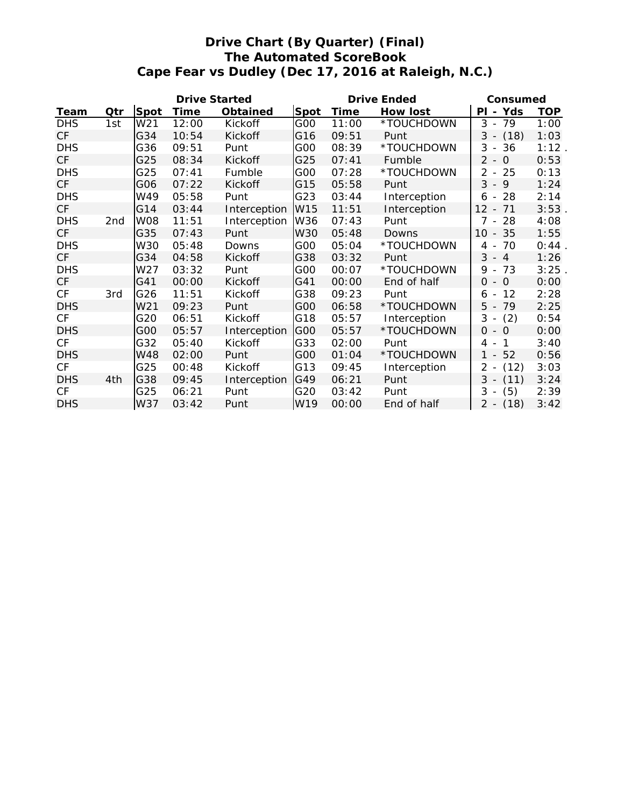# **Drive Chart (By Quarter) (Final) The Automated ScoreBook Cape Fear vs Dudley (Dec 17, 2016 at Raleigh, N.C.)**

|            |     |            | Drive Started |              |                 |       | Drive Ended  | Consumed                                      |            |
|------------|-----|------------|---------------|--------------|-----------------|-------|--------------|-----------------------------------------------|------------|
| Team       | Qtr | Spot       | Time          | Obtained     | Spot            | Time  | How lost     | PI - Yds                                      | <b>TOP</b> |
| <b>DHS</b> | 1st | W21        | 12:00         | Kickoff      | G00             | 11:00 | *TOUCHDOWN   | $3 - 79$                                      | 1:00       |
| <b>CF</b>  |     | G34        | 10:54         | Kickoff      | G16             | 09:51 | Punt         | (18)<br>3<br>$\overline{\phantom{a}}$         | 1:03       |
| <b>DHS</b> |     | G36        | 09:51         | Punt         | G00             | 08:39 | *TOUCHDOWN   | 3<br>36<br>$\overline{\phantom{a}}$           | 1:12       |
| CF         |     | G25        | 08:34         | Kickoff      | G25             | 07:41 | Fumble       | $\overline{2}$<br>$-0$                        | 0:53       |
| <b>DHS</b> |     | G25        | 07:41         | Fumble       | G00             | 07:28 | *TOUCHDOWN   | 2<br>25<br>$\overline{\phantom{a}}$           | 0:13       |
| <b>CF</b>  |     | G06        | 07:22         | Kickoff      | G15             | 05:58 | Punt         | $3 - 9$                                       | 1:24       |
| <b>DHS</b> |     | W49        | 05:58         | Punt         | G23             | 03:44 | Interception | 28<br>$6 -$                                   | 2:14       |
| <b>CF</b>  |     | G14        | 03:44         | Interception | W <sub>15</sub> | 11:51 | Interception | $12 - 71$                                     | 3:53       |
| <b>DHS</b> | 2nd | <b>W08</b> | 11:51         | Interception | W36             | 07:43 | Punt         | $7 -$<br>28                                   | 4:08       |
| <b>CF</b>  |     | G35        | 07:43         | Punt         | <b>W30</b>      | 05:48 | Downs        | 10 <sup>°</sup><br>$-35$                      | 1:55       |
| <b>DHS</b> |     | W30        | 05:48         | Downs        | G00             | 05:04 | *TOUCHDOWN   | 70<br>4 -                                     | 0:44       |
| CF         |     | G34        | 04:58         | Kickoff      | G38             | 03:32 | Punt         | $3 - 4$                                       | 1:26       |
| <b>DHS</b> |     | W27        | 03:32         | Punt         | G00             | 00:07 | *TOUCHDOWN   | 9<br>73<br>$\overline{\phantom{a}}$           | 3:25       |
| <b>CF</b>  |     | G41        | 00:00         | Kickoff      | G41             | 00:00 | End of half  | $0 - 0$                                       | 0:00       |
| CF         | 3rd | G26        | 11:51         | Kickoff      | G38             | 09:23 | Punt         | 12<br>6<br>$\overline{\phantom{a}}$           | 2:28       |
| <b>DHS</b> |     | W21        | 09:23         | Punt         | G00             | 06:58 | *TOUCHDOWN   | 79<br>$5 -$                                   | 2:25       |
| CF         |     | G20        | 06:51         | Kickoff      | G18             | 05:57 | Interception | 3<br>(2)<br>$\overline{\phantom{a}}$          | 0:54       |
| <b>DHS</b> |     | G00        | 05:57         | Interception | G00             | 05:57 | *TOUCHDOWN   | $0 - 0$                                       | 0:00       |
| CF         |     | G32        | 05:40         | Kickoff      | G33             | 02:00 | Punt         | $\mathbf{1}$<br>4<br>$\overline{\phantom{a}}$ | 3:40       |
| <b>DHS</b> |     | W48        | 02:00         | Punt         | G00             | 01:04 | *TOUCHDOWN   | $1 - 52$                                      | 0:56       |
| CF         |     | G25        | 00:48         | Kickoff      | G13             | 09:45 | Interception | 2<br>(12)                                     | 3:03       |
| <b>DHS</b> | 4th | G38        | 09:45         | Interception | G49             | 06:21 | Punt         | $3 -$<br>(11)                                 | 3:24       |
| CF         |     | G25        | 06:21         | Punt         | G20             | 03:42 | Punt         | 3<br>(5)<br>$\overline{\phantom{a}}$          | 2:39       |
| <b>DHS</b> |     | W37        | 03:42         | Punt         | W19             | 00:00 | End of half  | $2 - (18)$                                    | 3:42       |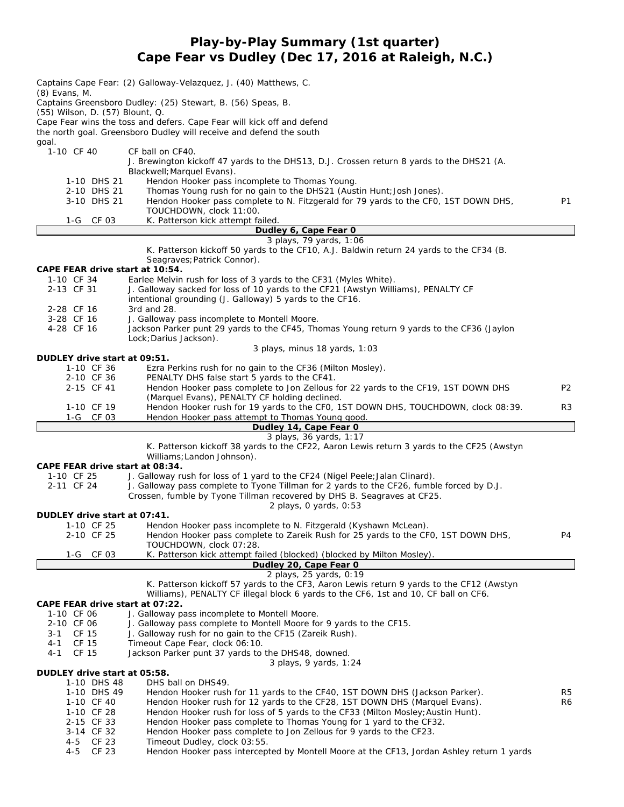#### **Play-by-Play Summary (1st quarter) Cape Fear vs Dudley (Dec 17, 2016 at Raleigh, N.C.)**

| $(8)$ Evans, M.                               | Captains Cape Fear: (2) Galloway-Velazquez, J. (40) Matthews, C.<br>Captains Greensboro Dudley: (25) Stewart, B. (56) Speas, B.                                      |                |
|-----------------------------------------------|----------------------------------------------------------------------------------------------------------------------------------------------------------------------|----------------|
| (55) Wilson, D. (57) Blount, Q.               |                                                                                                                                                                      |                |
|                                               | Cape Fear wins the toss and defers. Cape Fear will kick off and defend                                                                                               |                |
| goal.                                         | the north goal. Greensboro Dudley will receive and defend the south                                                                                                  |                |
| 1-10 CF 40                                    | CF ball on CF40.                                                                                                                                                     |                |
|                                               | J. Brewington kickoff 47 yards to the DHS13, D.J. Crossen return 8 yards to the DHS21 (A.                                                                            |                |
| 1-10 DHS 21                                   | Blackwell; Marquel Evans).<br>Hendon Hooker pass incomplete to Thomas Young.                                                                                         |                |
| 2-10 DHS 21                                   | Thomas Young rush for no gain to the DHS21 (Austin Hunt; Josh Jones).                                                                                                |                |
| 3-10 DHS 21                                   | Hendon Hooker pass complete to N. Fitzgerald for 79 yards to the CFO, 1ST DOWN DHS,                                                                                  | <b>P1</b>      |
|                                               | TOUCHDOWN, clock 11:00.                                                                                                                                              |                |
| $1-G$<br>CF 03                                | K. Patterson kick attempt failed.<br>Dudley 6, Cape Fear 0                                                                                                           |                |
|                                               | 3 plays, 79 yards, 1:06                                                                                                                                              |                |
|                                               | K. Patterson kickoff 50 yards to the CF10, A.J. Baldwin return 24 yards to the CF34 (B.                                                                              |                |
|                                               | Seagraves; Patrick Connor).                                                                                                                                          |                |
| CAPE FEAR drive start at 10:54.<br>1-10 CF 34 | Earlee Melvin rush for loss of 3 yards to the CF31 (Myles White).                                                                                                    |                |
| 2-13 CF 31                                    | J. Galloway sacked for loss of 10 yards to the CF21 (Awstyn Williams), PENALTY CF                                                                                    |                |
|                                               | intentional grounding (J. Galloway) 5 yards to the CF16.                                                                                                             |                |
| 2-28 CF 16<br>3-28 CF 16                      | 3rd and 28.<br>J. Galloway pass incomplete to Montell Moore.                                                                                                         |                |
| 4-28 CF 16                                    | Jackson Parker punt 29 yards to the CF45, Thomas Young return 9 yards to the CF36 (Jaylon                                                                            |                |
|                                               | Lock; Darius Jackson).                                                                                                                                               |                |
|                                               | 3 plays, minus 18 yards, 1:03                                                                                                                                        |                |
| DUDLEY drive start at 09:51.<br>1-10 CF 36    | Ezra Perkins rush for no gain to the CF36 (Milton Mosley).                                                                                                           |                |
| 2-10 CF 36                                    | PENALTY DHS false start 5 yards to the CF41.                                                                                                                         |                |
| 2-15 CF 41                                    | Hendon Hooker pass complete to Jon Zellous for 22 yards to the CF19, 1ST DOWN DHS                                                                                    | P <sub>2</sub> |
|                                               | (Marquel Evans), PENALTY CF holding declined.                                                                                                                        |                |
| 1-10 CF 19<br>1-G CF 03                       | Hendon Hooker rush for 19 yards to the CF0, 1ST DOWN DHS, TOUCHDOWN, clock 08:39.<br>Hendon Hooker pass attempt to Thomas Young good.                                | R3             |
|                                               |                                                                                                                                                                      |                |
|                                               | Dudley 14, Cape Fear O                                                                                                                                               |                |
|                                               | 3 plays, 36 yards, 1:17                                                                                                                                              |                |
|                                               | K. Patterson kickoff 38 yards to the CF22, Aaron Lewis return 3 yards to the CF25 (Awstyn<br>Williams; Landon Johnson).                                              |                |
| CAPE FEAR drive start at 08:34.<br>1-10 CF 25 | J. Galloway rush for loss of 1 yard to the CF24 (Nigel Peele; Jalan Clinard).                                                                                        |                |
| 2-11 CF 24                                    | J. Galloway pass complete to Tyone Tillman for 2 yards to the CF26, fumble forced by D.J.<br>Crossen, fumble by Tyone Tillman recovered by DHS B. Seagraves at CF25. |                |
|                                               | 2 plays, O yards, 0:53                                                                                                                                               |                |
| DUDLEY drive start at 07:41.<br>1-10 CF 25    | Hendon Hooker pass incomplete to N. Fitzgerald (Kyshawn McLean).                                                                                                     |                |
| 2-10 CF 25                                    | Hendon Hooker pass complete to Zareik Rush for 25 yards to the CF0, 1ST DOWN DHS,                                                                                    | Ρ4             |
|                                               | TOUCHDOWN, clock 07:28.                                                                                                                                              |                |
| 1-G CF 03                                     | K. Patterson kick attempt failed (blocked) (blocked by Milton Mosley).                                                                                               |                |
|                                               | Dudley 20, Cape Fear 0<br>2 plays, 25 yards, 0:19                                                                                                                    |                |
|                                               | K. Patterson kickoff 57 yards to the CF3, Aaron Lewis return 9 yards to the CF12 (Awstyn                                                                             |                |
|                                               | Williams), PENALTY CF illegal block 6 yards to the CF6, 1st and 10, CF ball on CF6.                                                                                  |                |
| CAPE FEAR drive start at 07:22.<br>1-10 CF 06 | J. Galloway pass incomplete to Montell Moore.                                                                                                                        |                |
| 2-10 CF 06                                    | J. Galloway pass complete to Montell Moore for 9 yards to the CF15.                                                                                                  |                |
| CF 15<br>3-1                                  | J. Galloway rush for no gain to the CF15 (Zareik Rush).                                                                                                              |                |
| CF 15<br>4-1<br>$4 - 1$                       | Timeout Cape Fear, clock 06:10.                                                                                                                                      |                |
| CF 15                                         | Jackson Parker punt 37 yards to the DHS48, downed.<br>3 plays, 9 yards, 1:24                                                                                         |                |
| DUDLEY drive start at 05:58.                  |                                                                                                                                                                      |                |
| 1-10 DHS 48                                   | DHS ball on DHS49.                                                                                                                                                   |                |
| 1-10 DHS 49<br>1-10 CF 40                     | Hendon Hooker rush for 11 yards to the CF40, 1ST DOWN DHS (Jackson Parker).<br>Hendon Hooker rush for 12 yards to the CF28, 1ST DOWN DHS (Marquel Evans).            | R5<br>R6       |
| 1-10 CF 28                                    | Hendon Hooker rush for loss of 5 yards to the CF33 (Milton Mosley; Austin Hunt).                                                                                     |                |
| 2-15 CF 33                                    | Hendon Hooker pass complete to Thomas Young for 1 yard to the CF32.                                                                                                  |                |
| 3-14 CF 32<br>CF 23<br>4-5                    | Hendon Hooker pass complete to Jon Zellous for 9 yards to the CF23.<br>Timeout Dudley, clock 03:55.                                                                  |                |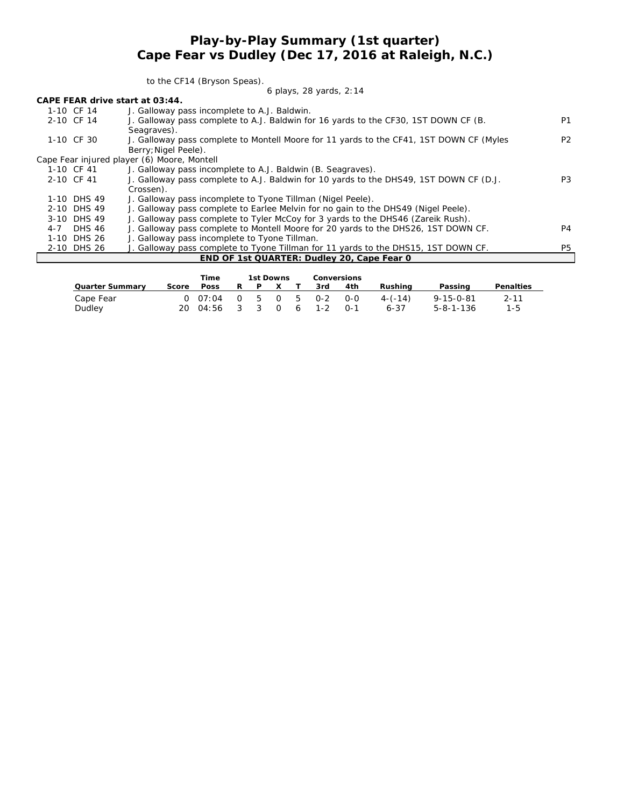#### **Play-by-Play Summary (1st quarter) Cape Fear vs Dudley (Dec 17, 2016 at Raleigh, N.C.)**

to the CF14 (Bryson Speas).

#### *6 plays, 28 yards, 2:14*

| CAPE FEAR drive start at 03:44. |  |  |
|---------------------------------|--|--|
|---------------------------------|--|--|

| 1-10 CF 14  | J. Galloway pass incomplete to A.J. Baldwin.                                            |                |
|-------------|-----------------------------------------------------------------------------------------|----------------|
| 2-10 CF 14  | J. Galloway pass complete to A.J. Baldwin for 16 yards to the CF30, 1ST DOWN CF (B.     | P <sub>1</sub> |
|             | Seagraves).                                                                             |                |
| 1-10 CF 30  | J. Galloway pass complete to Montell Moore for 11 yards to the CF41, 1ST DOWN CF (Myles | P <sub>2</sub> |
|             | Berry; Nigel Peele).                                                                    |                |
|             | Cape Fear injured player (6) Moore, Montell                                             |                |
| 1-10 CF 41  | J. Galloway pass incomplete to A.J. Baldwin (B. Seagraves).                             |                |
| 2-10 CF 41  | J. Galloway pass complete to A.J. Baldwin for 10 yards to the DHS49, 1ST DOWN CF (D.J.  | P <sub>3</sub> |
|             | Crossen).                                                                               |                |
| 1-10 DHS 49 | J. Galloway pass incomplete to Tyone Tillman (Nigel Peele).                             |                |
| 2-10 DHS 49 | J. Galloway pass complete to Earlee Melvin for no gain to the DHS49 (Nigel Peele).      |                |
| 3-10 DHS 49 | J. Galloway pass complete to Tyler McCoy for 3 yards to the DHS46 (Zareik Rush).        |                |
| 4-7 DHS 46  | J. Galloway pass complete to Montell Moore for 20 yards to the DHS26, 1ST DOWN CF.      | P <sub>4</sub> |
| 1-10 DHS 26 | J. Galloway pass incomplete to Tyone Tillman.                                           |                |
| 2-10 DHS 26 | J. Galloway pass complete to Tyone Tillman for 11 yards to the DHS15, 1ST DOWN CF.      | P <sub>5</sub> |
|             | END OF 1st QUARTER: Dudley 20, Cape Fear 0                                              |                |
|             |                                                                                         |                |

|                 |       | Time             |    | 1st Downs |              |  | Conversions |       |             |                   |           |
|-----------------|-------|------------------|----|-----------|--------------|--|-------------|-------|-------------|-------------------|-----------|
| Quarter Summary | Score | Poss             | R. | P         | $\mathsf{X}$ |  | 3rd         | 4th   | Rushina     | Passing           | Penalties |
| Cape Fear       |       | 0.07:04          |    |           |              |  | 0 5 0 5 0-2 | $O-O$ | $4 - (-14)$ | $9 - 15 - 0 - 81$ | 2-11      |
| Dudley          |       | $20 \quad 04:56$ |    |           |              |  | 3 3 0 6 1-2 | O-1   | $6 - 37$    | $5 - 8 - 1 - 136$ | $1 - 5$   |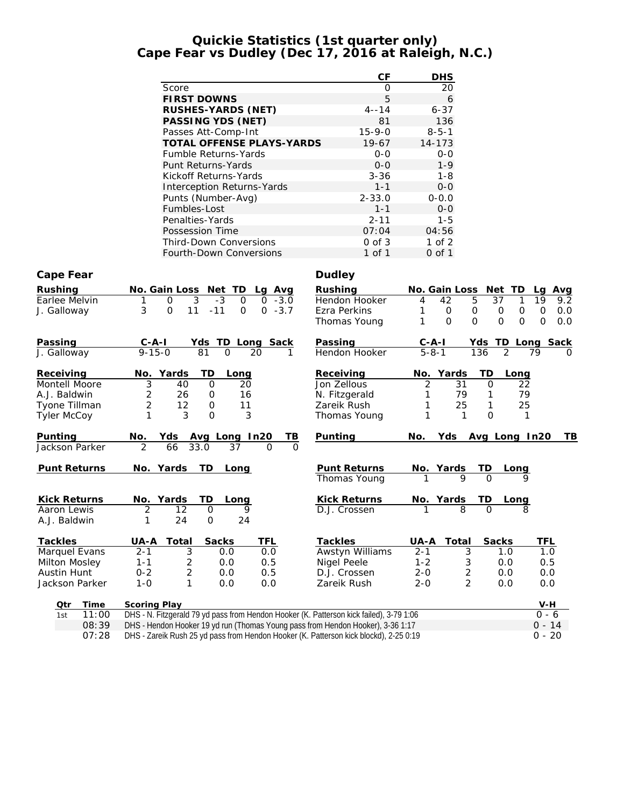#### **Quickie Statistics (1st quarter only) Cape Fear vs Dudley (Dec 17, 2016 at Raleigh, N.C.)**

|                     |                                                                                         | CF                           | <b>DHS</b>                                   |                                                                                  |
|---------------------|-----------------------------------------------------------------------------------------|------------------------------|----------------------------------------------|----------------------------------------------------------------------------------|
|                     | Score                                                                                   | $\mathbf{O}$                 | 20                                           |                                                                                  |
|                     | <b>FIRST DOWNS</b>                                                                      | 5                            | 6                                            |                                                                                  |
|                     | RUSHES-YARDS (NET)                                                                      | $4 - 14$                     | $6 - 37$                                     |                                                                                  |
|                     | PASSING YDS (NET)                                                                       | 81                           | 136                                          |                                                                                  |
|                     | Passes Att-Comp-Int                                                                     | $15 - 9 - 0$                 | $8 - 5 - 1$                                  |                                                                                  |
|                     | TOTAL OFFENSE PLAYS-YARDS                                                               | $19-67$                      | $14 - 173$                                   |                                                                                  |
|                     | Fumble Returns-Yards                                                                    | $0 - 0$                      | $0 - 0$                                      |                                                                                  |
|                     | Punt Returns-Yards                                                                      | $0-0$                        | $1 - 9$                                      |                                                                                  |
|                     | Kickoff Returns-Yards                                                                   | $3 - 36$                     | $1 - 8$                                      |                                                                                  |
|                     | Interception Returns-Yards                                                              | $1 - 1$                      | $0-0$                                        |                                                                                  |
|                     | Punts (Number-Avg)                                                                      | $2 - 33.0$                   | $0 - 0.0$                                    |                                                                                  |
|                     | Fumbles-Lost                                                                            | $1 - 1$                      | $0 - 0$                                      |                                                                                  |
|                     | Penalties-Yards                                                                         | $2 - 11$                     | $1 - 5$                                      |                                                                                  |
|                     | Possession Time                                                                         | 07:04                        | 04:56                                        |                                                                                  |
|                     | Third-Down Conversions                                                                  | $0$ of $3$                   | $1$ of $2$                                   |                                                                                  |
|                     | Fourth-Down Conversions                                                                 | 1 of 1                       | $0$ of $1$                                   |                                                                                  |
| Cape Fear           |                                                                                         | Dudley                       |                                              |                                                                                  |
|                     |                                                                                         |                              |                                              |                                                                                  |
| Rushing             | No. Gain Loss Net TD<br>Lg Avg                                                          | Rushing                      | No. Gain Loss                                | Net TD<br>La<br>Avg                                                              |
| Earlee Melvin       | 3<br>$-3$<br>$\overline{O}$<br>$-3.0$<br>$\mathsf{O}$<br>1<br>0                         | Hendon Hooker                | 5<br>42<br>4                                 | 37<br>19<br>1<br>9.2                                                             |
| J. Galloway         | 3<br>$\mathsf O$<br>11<br>$-11$<br>$0 - 3.7$<br>0                                       | Ezra Perkins<br>Thomas Young | 1<br>0<br>0<br>1<br>$\Omega$<br>$\mathbf{O}$ | $\mathsf{O}\xspace$<br>O<br>O<br>0.0<br>$\mathbf{O}$<br>0<br>$\mathbf{O}$<br>0.0 |
|                     |                                                                                         |                              |                                              |                                                                                  |
| Passing             | Yds TD Long Sack<br>$C - A - I$                                                         | Passing                      | $C-A-I$                                      | Yds TD Long Sack                                                                 |
| J. Galloway         | $9 - 15 - 0$<br>81<br>$\Omega$<br>20<br>1                                               | Hendon Hooker                | $5 - 8 - 1$<br>136                           | 2<br>79<br>$\Omega$                                                              |
|                     |                                                                                         |                              |                                              |                                                                                  |
| Receiving           | No. Yards<br>TD<br>Long                                                                 | Receiving                    | Yards<br>No.                                 | TD<br>Long                                                                       |
| Montell Moore       | 3<br>40<br>0<br>20                                                                      | Jon Zellous                  | 2<br>31                                      | 22<br>0                                                                          |
| A.J. Baldwin        | 2<br>26<br>0<br>16                                                                      | N. Fitzgerald                | 79<br>1                                      | 79<br>1                                                                          |
| Tyone Tillman       | $\overline{c}$<br>12<br>0<br>11                                                         | Zareik Rush                  | 1<br>25                                      | 1<br>25                                                                          |
| <b>Tyler McCoy</b>  | 1<br>3<br>3<br>$\mathbf{O}$                                                             | Thomas Young                 | 1<br>1                                       | $\Omega$<br>1                                                                    |
|                     |                                                                                         |                              |                                              |                                                                                  |
| Punting             | Avg Long In20<br><u>ТВ</u><br>No.<br>Yds                                                | Punting                      | Yds<br>No.                                   | Avg Long In20<br>TВ                                                              |
| Jackson Parker      | 66<br>33.0<br>2<br>37<br>$\Omega$<br>$\Omega$                                           |                              |                                              |                                                                                  |
| Punt Returns        | TD<br>No. Yards                                                                         | Punt Returns                 |                                              |                                                                                  |
|                     | Long                                                                                    | Thomas Young                 | No. Yards<br>ТD<br>Q                         | Long                                                                             |
|                     |                                                                                         |                              |                                              |                                                                                  |
| <b>Kick Returns</b> | TD<br>Yards<br>No.<br>Long                                                              | Kick Returns                 | No. Yards<br>ТD                              | Long                                                                             |
| Aaron Lewis         | 2<br>12<br>0<br>9                                                                       | D.J. Crossen                 | 8                                            | $\Omega$<br>8                                                                    |
| A.J. Baldwin        | 1<br>24<br>0<br>24                                                                      |                              |                                              |                                                                                  |
|                     |                                                                                         |                              |                                              |                                                                                  |
| Tackles             | Total<br>Sacks<br>TFL<br>UA-A                                                           | Tackles                      | UA-A<br>Total                                | Sacks<br>TFL                                                                     |
| Marquel Evans       | 3<br>$2 - 1$<br>0.0<br>0.0                                                              | Awstyn Williams              | $2 - 1$<br>3                                 | 1.0<br>1.0                                                                       |
| Milton Mosley       | $1 - 1$<br>2<br>0.0<br>0.5                                                              | Nigel Peele                  | $1 - 2$<br>3                                 | 0.0<br>0.5                                                                       |
| Austin Hunt         | $0 - 2$<br>$\overline{2}$<br>0.5<br>0.0                                                 | D.J. Crossen                 | $2 - 0$<br>$\overline{c}$                    | 0.0<br>0.0                                                                       |
| Jackson Parker      | $1 - 0$<br>1<br>0.0<br>0.0                                                              | Zareik Rush                  | $\overline{2}$<br>$2 - 0$                    | 0.0<br>0.0                                                                       |
| Time<br>Qtr         | Scoring Play                                                                            |                              |                                              | $V-H$                                                                            |
| 11:00<br>1st        | DHS - N. Fitzgerald 79 yd pass from Hendon Hooker (K. Patterson kick failed), 3-79 1:06 |                              |                                              | $0 - 6$                                                                          |

| ◡ | 1111 E | <b>JUULING FIAY</b>                                                                               | $V = I$  |
|---|--------|---------------------------------------------------------------------------------------------------|----------|
|   |        | 1st 11:00 DHS - N. Fitzgerald 79 yd pass from Hendon Hooker (K. Patterson kick failed), 3-79 1:06 | 0 - 6    |
|   | 08:39  | DHS - Hendon Hooker 19 yd run (Thomas Young pass from Hendon Hooker), 3-36 1:17                   | $0 - 14$ |
|   | 07:28  | DHS - Zareik Rush 25 yd pass from Hendon Hooker (K. Patterson kick blockd), 2-25 0:19             | $0 - 20$ |
|   |        |                                                                                                   |          |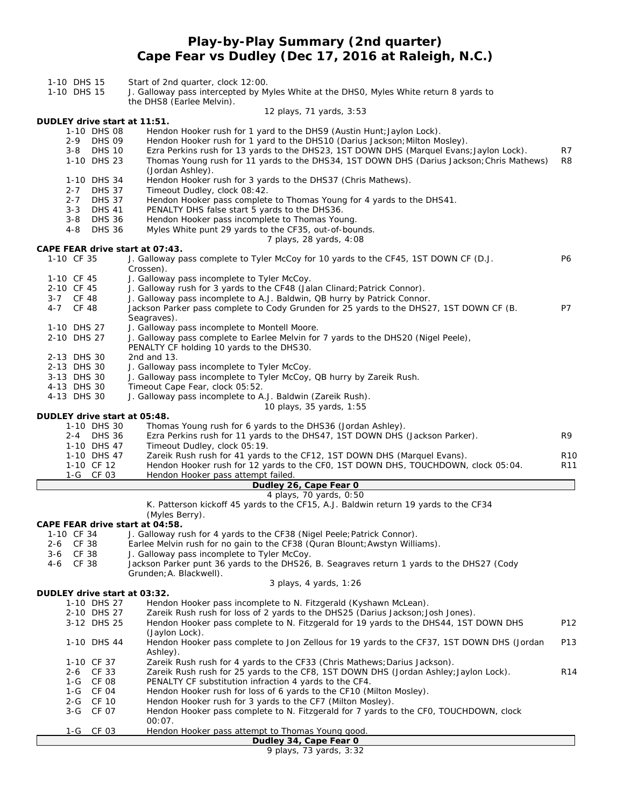### **Play-by-Play Summary (2nd quarter) Cape Fear vs Dudley (Dec 17, 2016 at Raleigh, N.C.)**

- 1-10 DHS 15 Start of 2nd quarter, clock 12:00.
- 1-10 DHS 15 J. Galloway pass intercepted by Myles White at the DHS0, Myles White return 8 yards to the DHS8 (Earlee Melvin).

#### *12 plays, 71 yards, 3:53*

**DUDLEY drive start at 11:51.**

- 1-10 DHS 08 Hendon Hooker rush for 1 yard to the DHS9 (Austin Hunt;Jaylon Lock).
- 2-9 DHS 09 Hendon Hooker rush for 1 yard to the DHS10 (Darius Jackson; Milton Mosley).<br>2-8 DHS 10 Ezra Perkins rush for 13 yards to the DHS23, 1ST DOWN DHS (Marquel Evans
- 3-8 DHS 10 Ezra Perkins rush for 13 yards to the DHS23, 1ST DOWN DHS (Marquel Evans;Jaylon Lock). R7 1-10 DHS 23 Thomas Young rush for 11 yards to the DHS34, 1ST DOWN DHS (Darius Jackson;Chris Mathews) R8
- (Jordan Ashley).
- 1-10 DHS 34 Hendon Hooker rush for 3 yards to the DHS37 (Chris Mathews).
- 2-7 DHS 37 Timeout Dudley, clock 08:42.
- 2-7 DHS 37 Hendon Hooker pass complete to Thomas Young for 4 yards to the DHS41.
- 3-3 DHS 41 PENALTY DHS false start 5 yards to the DHS36.
- 
- 3-8 DHS 36 Hendon Hooker pass incomplete to Thomas Young.<br>4-8 DHS 36 Myles White punt 29 vards to the CF35, out-of-bou Myles White punt 29 yards to the CF35, out-of-bounds.

#### *7 plays, 28 yards, 4:08*

**CAPE FEAR drive start at 07:43.**

1-10 CF 35 J. Galloway pass complete to Tyler McCoy for 10 yards to the CF45, 1ST DOWN CF (D.J. P6 Crossen). 1-10 CF 45 J. Galloway pass incomplete to Tyler McCoy. 2-10 CF 45 J. Galloway rush for 3 yards to the CF48 (Jalan Clinard; Patrick Connor). 3-7 CF 48 J. Galloway pass incomplete to A.J. Baldwin, QB hurry by Patrick Connor. 4-7 CF 48 Jackson Parker pass complete to Cody Grunden for 25 yards to the DHS27, 1ST DOWN CF (B. P7 Seagraves). 1-10 DHS 27 J. Galloway pass incomplete to Montell Moore. 2-10 DHS 27 J. Galloway pass complete to Earlee Melvin for 7 yards to the DHS20 (Nigel Peele), PENALTY CF holding 10 yards to the DHS30. 2-13 DHS 30 2nd and 13. 2-13 DHS 30 J. Galloway pass incomplete to Tyler McCoy. 3-13 DHS 30 J. Galloway pass incomplete to Tyler McCoy, QB hurry by Zareik Rush. 4-13 DHS 30 Timeout Cape Fear, clock 05:52. 4-13 DHS 30 J. Galloway pass incomplete to A.J. Baldwin (Zareik Rush). *10 plays, 35 yards, 1:55* **DUDLEY drive start at 05:48.** 1-10 DHS 30 Thomas Young rush for 6 yards to the DHS36 (Jordan Ashley). 2-4 DHS 36 Ezra Perkins rush for 11 yards to the DHS47, 1ST DOWN DHS (Jackson Parker). R9 1-10 DHS 47 Timeout Dudley, clock 05:19.<br>1-10 DHS 47 Zareik Rush rush for 41 vards Zareik Rush rush for 41 yards to the CF12, 1ST DOWN DHS (Marquel Evans). R10 1-10 CF 12 Hendon Hooker rush for 12 yards to the CF0, 1ST DOWN DHS, TOUCHDOWN, clock 05:04. R11 1-G CF 03 Hendon Hooker pass attempt failed. **Dudley 26, Cape Fear 0** *4 plays, 70 yards, 0:50* K. Patterson kickoff 45 yards to the CF15, A.J. Baldwin return 19 yards to the CF34 (Myles Berry). **CAPE FEAR drive start at 04:58.** 1-10 CF 34 J. Galloway rush for 4 yards to the CF38 (Nigel Peele; Patrick Connor).<br>2-6 CF 38 Earlee Melvin rush for no gain to the CF38 (Quran Blount; Awstyn Willi Earlee Melvin rush for no gain to the CF38 (Quran Blount; Awstyn Williams). 3-6 CF 38 J. Galloway pass incomplete to Tyler McCoy. 4-6 CF 38 Jackson Parker punt 36 yards to the DHS26, B. Seagraves return 1 yards to the DHS27 (Cody Grunden;A. Blackwell). *3 plays, 4 yards, 1:26* **DUDLEY drive start at 03:32.** 1-10 DHS 27 Hendon Hooker pass incomplete to N. Fitzgerald (Kyshawn McLean). 2-10 DHS 27 Zareik Rush rush for loss of 2 yards to the DHS25 (Darius Jackson;Josh Jones). 3-12 DHS 25 Hendon Hooker pass complete to N. Fitzgerald for 19 yards to the DHS44, 1ST DOWN DHS P12 (Jaylon Lock). 1-10 DHS 44 Hendon Hooker pass complete to Jon Zellous for 19 yards to the CF37, 1ST DOWN DHS (Jordan P13 Ashley). 1-10 CF 37 Zareik Rush rush for 4 yards to the CF33 (Chris Mathews; Darius Jackson). 2-6 CF 33 Zareik Rush rush for 25 yards to the CF8, 1ST DOWN DHS (Jordan Ashley; Jaylon Lock). R14<br>1-G CF 08 PENALTY CF substitution infraction 4 yards to the CF4. PENALTY CF substitution infraction 4 yards to the CF4. 1-G CF 04 Hendon Hooker rush for loss of 6 yards to the CF10 (Milton Mosley). 2-G CF 10 Hendon Hooker rush for 3 yards to the CF7 (Milton Mosley). 3-G CF 07 Hendon Hooker pass complete to N. Fitzgerald for 7 yards to the CF0, TOUCHDOWN, clock 00:07. 1-G CF 03 Hendon Hooker pass attempt to Thomas Young good. **Dudley 34, Cape Fear 0** *9 plays, 73 yards, 3:32*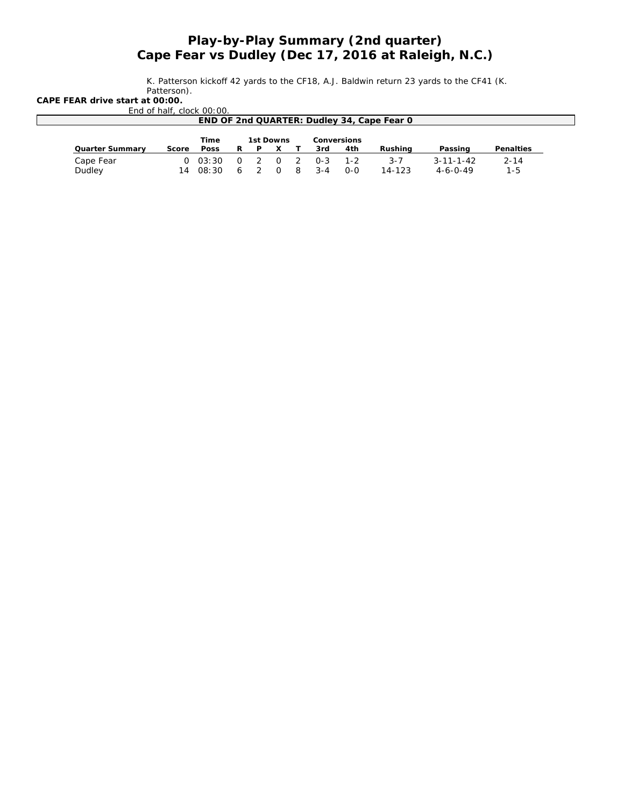## *Play-by-Play Summary (2nd quarter) Cape Fear vs Dudley (Dec 17, 2016 at Raleigh, N.C.)*

K. Patterson kickoff 42 yards to the CF18, A.J. Baldwin return 23 yards to the CF41 (K. Patterson).

**CAPE FEAR drive start at 00:00.**

|                 |       | End of half, clock 00:00. |          |                |           |   |             |         |                                            |                   |           |
|-----------------|-------|---------------------------|----------|----------------|-----------|---|-------------|---------|--------------------------------------------|-------------------|-----------|
|                 |       |                           |          |                |           |   |             |         | END OF 2nd QUARTER: Dudley 34, Cape Fear 0 |                   |           |
|                 |       |                           |          |                |           |   |             |         |                                            |                   |           |
|                 | Time  |                           |          |                | 1st Downs |   | Conversions |         |                                            |                   |           |
| Quarter Summary | Score | Poss                      | R        |                |           |   | 3rd         | 4th     | Rushina                                    | Passing           | Penalties |
| Cape Fear       |       | 0.03:30                   | $\Omega$ | $\overline{2}$ | $\Omega$  | 2 | $0 - 3$     | $1 - 2$ | $3 - 7$                                    | $3 - 11 - 1 - 42$ | $2 - 14$  |
| Dudley          | 14    | 08:30                     | 6        |                |           |   |             | 0-0     | 14-123                                     | $4 - 6 - 0 - 49$  | 1-5       |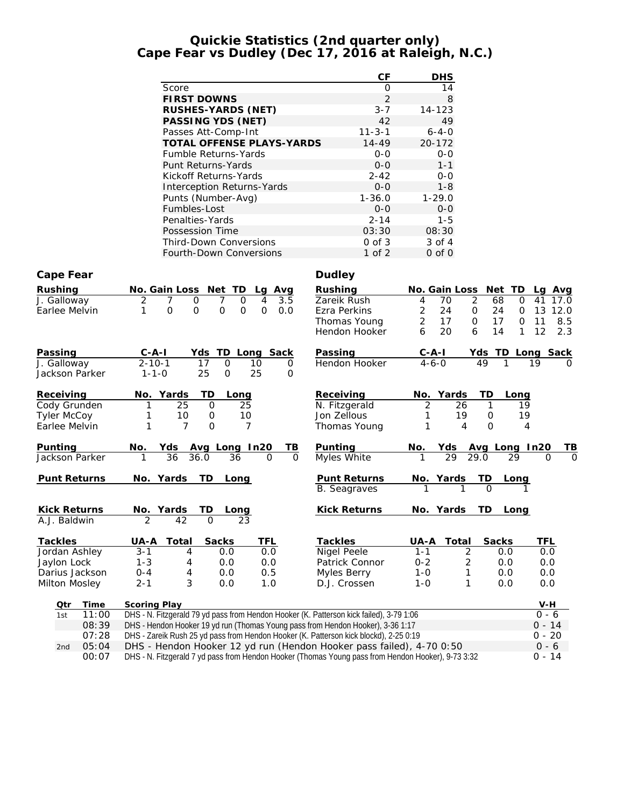#### **Quickie Statistics (2nd quarter only) Cape Fear vs Dudley (Dec 17, 2016 at Raleigh, N.C.)**

|                     |                                                                                                    | CF                  | <b>DHS</b>                                 |                  |
|---------------------|----------------------------------------------------------------------------------------------------|---------------------|--------------------------------------------|------------------|
|                     | Score                                                                                              | $\mathbf 0$         | 14                                         |                  |
|                     | <b>FIRST DOWNS</b>                                                                                 | $\overline{2}$      | $\,8\,$                                    |                  |
|                     | RUSHES-YARDS (NET)                                                                                 | $3 - 7$             | 14-123                                     |                  |
|                     | PASSING YDS (NET)                                                                                  | 42                  | 49                                         |                  |
|                     | Passes Att-Comp-Int                                                                                | $11 - 3 - 1$        | $6 - 4 - 0$                                |                  |
|                     | TOTAL OFFENSE PLAYS-YARDS                                                                          | $14 - 49$           | 20-172                                     |                  |
|                     | Fumble Returns-Yards<br>Punt Returns-Yards                                                         | $0 - 0$<br>$0 - 0$  | $O-O$<br>$1 - 1$                           |                  |
|                     | Kickoff Returns-Yards                                                                              | $2 - 42$            | $0-0$                                      |                  |
|                     | <b>Interception Returns-Yards</b>                                                                  | $O-O$               | $1 - 8$                                    |                  |
|                     | Punts (Number-Avg)                                                                                 | $1 - 36.0$          | $1 - 29.0$                                 |                  |
|                     | Fumbles-Lost                                                                                       | $0 - 0$             | $0-0$                                      |                  |
|                     | Penalties-Yards                                                                                    | $2 - 14$            | $1 - 5$                                    |                  |
|                     | Possession Time                                                                                    | 03:30               | 08:30                                      |                  |
|                     | Third-Down Conversions                                                                             | $0$ of $3$          | 3 of 4                                     |                  |
|                     | Fourth-Down Conversions                                                                            | 1 of 2              | $0$ of $0$                                 |                  |
| Cape Fear           |                                                                                                    | Dudley              |                                            |                  |
| Rushing             |                                                                                                    | Rushing             |                                            | Lg Avg           |
| J. Galloway         | No. Gain Loss Net TD<br>Avg<br>Lq<br>2<br>7<br>$\overline{3.5}$<br>7<br>0<br>0<br>4                | Zareik Rush         | No. Gain Loss Net TD<br>2<br>4<br>70<br>68 | 0<br>41<br>17.0  |
| Earlee Melvin       | $\mathsf{O}$<br>1<br>$\mathsf O$<br>$\mathbf{O}$<br>$\overline{0}$<br>0<br>0.0                     | Ezra Perkins        | $\overline{2}$<br>24<br>24<br>0            | 13 12.0<br>0     |
|                     |                                                                                                    | Thomas Young        | $\overline{2}$<br>17<br>17<br>0            | 0<br>11<br>8.5   |
|                     |                                                                                                    | Hendon Hooker       | 20<br>14<br>6<br>6                         | 12<br>2.3<br>1   |
| Passing             | TD Long Sack<br>$C-A-I$<br>Yds                                                                     | Passing             | C-A-I                                      | Yds TD Long Sack |
| J. Galloway         | $2 - 10 - 1$<br>$\mathsf{O}$<br>17<br>10<br>0                                                      | Hendon Hooker       | $4 - 6 - 0$<br>49                          | 19<br>$\Omega$   |
| Jackson Parker      | 25<br>$1 - 1 - 0$<br>25<br>$\mathbf{O}$<br>0                                                       |                     |                                            |                  |
| Receiving           | Yards<br>TD<br>No.<br>Long                                                                         | Receiving           | No. Yards<br>TD<br>Long                    |                  |
| Cody Grunden        | 25<br>0<br>25                                                                                      | N. Fitzgerald       | 2<br>26<br>1                               | 19               |
| <b>Tyler McCoy</b>  | 10<br>0<br>10<br>1                                                                                 | Jon Zellous         | 19<br>0<br>1                               | 19               |
| Earlee Melvin       | 7<br>O<br>7<br>1                                                                                   | Thomas Young        | 4<br>0<br>1                                | 4                |
| Punting             | No.<br>Yds Avg Long In20<br>TB                                                                     | Punting             | No.<br>Yds<br>Avg Long In20                | TВ               |
| Jackson Parker      | 36<br>36.0<br>36<br>0<br>1<br>0                                                                    | Myles White         | 29<br>29.0<br>1<br>29                      | $\Omega$<br>0    |
| Punt Returns        | No. Yards<br>TD.<br>Long                                                                           | Punt Returns        | ID<br>No. Yards<br>Long                    |                  |
|                     |                                                                                                    | <b>B.</b> Seagraves | $\Omega$                                   |                  |
| <b>Kick Returns</b> | No.<br>Yards<br>TD.<br>Long                                                                        | Kick Returns        | TD<br>No. Yards<br>Long                    |                  |
| A.J. Baldwin        | 2<br>42<br>$\Omega$<br>23                                                                          |                     |                                            |                  |
| Tackles             | <b>TFL</b><br>Total<br>Sacks<br>UA-A                                                               | Tackles             | Total<br>Sacks<br>UA-A                     | <b>TFL</b>       |
| Jordan Ashley       | $3 - 1$<br>0.0<br>0.0<br>4                                                                         | Nigel Peele         | 2<br>$1 - 1$<br>0.0                        | 0.0              |
| Jaylon Lock         | $1 - 3$<br>0.0<br>4<br>0.0                                                                         | Patrick Connor      | $0 - 2$<br>$\overline{\mathbf{c}}$<br>0.0  | 0.0              |
| Darius Jackson      | 0.5<br>$0 - 4$<br>0.0<br>4                                                                         | Myles Berry         | $1 - 0$<br>1<br>0.0                        | 0.0              |
| Milton Mosley       | 3<br>$2 - 1$<br>0.0<br>1.0                                                                         | D.J. Crossen        | $1 - 0$<br>1<br>0.0                        | 0.0              |
| Time<br>Qtr         | Scoring Play                                                                                       |                     |                                            | V-H              |
| 11:00<br>1st        | DHS - N. Fitzgerald 79 yd pass from Hendon Hooker (K. Patterson kick failed), 3-79 1:06            |                     |                                            | $0 - 6$          |
| 08:39               | DHS - Hendon Hooker 19 yd run (Thomas Young pass from Hendon Hooker), 3-36 1:17                    |                     |                                            | $0 - 14$         |
| 07:28               | DHS - Zareik Rush 25 yd pass from Hendon Hooker (K. Patterson kick blockd), 2-25 0:19              |                     |                                            | $0 - 20$         |
| 05:04<br>2nd        | DHS - Hendon Hooker 12 yd run (Hendon Hooker pass failed), 4-70 0:50                               |                     |                                            | $0 - 6$          |
| 00:07               | DHS - N. Fitzgerald 7 yd pass from Hendon Hooker (Thomas Young pass from Hendon Hooker), 9-73 3:32 |                     |                                            | $0 - 14$         |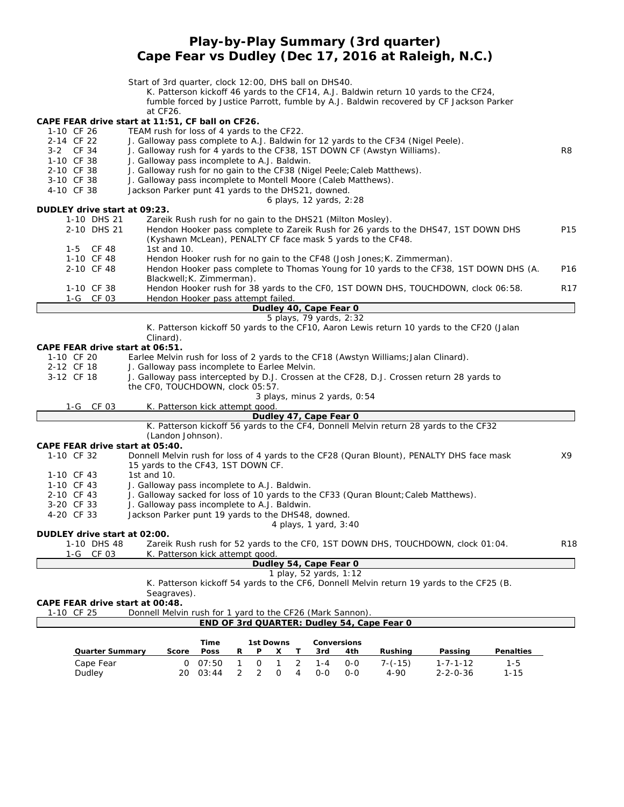## **Play-by-Play Summary (3rd quarter) Cape Fear vs Dudley (Dec 17, 2016 at Raleigh, N.C.)**

|                                                                | Start of 3rd quarter, clock 12:00, DHS ball on DHS40.                                                                         |                       |              |                     |                |                        |                              |                                                                        |                                                                                           |           |                 |
|----------------------------------------------------------------|-------------------------------------------------------------------------------------------------------------------------------|-----------------------|--------------|---------------------|----------------|------------------------|------------------------------|------------------------------------------------------------------------|-------------------------------------------------------------------------------------------|-----------|-----------------|
|                                                                |                                                                                                                               |                       |              |                     |                |                        |                              |                                                                        | K. Patterson kickoff 46 yards to the CF14, A.J. Baldwin return 10 yards to the CF24,      |           |                 |
|                                                                |                                                                                                                               |                       |              |                     |                |                        |                              |                                                                        | fumble forced by Justice Parrott, fumble by A.J. Baldwin recovered by CF Jackson Parker   |           |                 |
|                                                                | at CF26.                                                                                                                      |                       |              |                     |                |                        |                              |                                                                        |                                                                                           |           |                 |
| CAPE FEAR drive start at 11:51, CF ball on CF26.<br>1-10 CF 26 | TEAM rush for loss of 4 yards to the CF22.                                                                                    |                       |              |                     |                |                        |                              |                                                                        |                                                                                           |           |                 |
| 2-14 CF 22                                                     | J. Galloway pass complete to A.J. Baldwin for 12 yards to the CF34 (Nigel Peele).                                             |                       |              |                     |                |                        |                              |                                                                        |                                                                                           |           |                 |
| 3-2 CF 34                                                      | J. Galloway rush for 4 yards to the CF38, 1ST DOWN CF (Awstyn Williams).                                                      |                       |              |                     |                |                        |                              |                                                                        |                                                                                           |           | R8              |
| 1-10 CF 38                                                     | J. Galloway pass incomplete to A.J. Baldwin.                                                                                  |                       |              |                     |                |                        |                              |                                                                        |                                                                                           |           |                 |
| 2-10 CF 38                                                     | J. Galloway rush for no gain to the CF38 (Nigel Peele; Caleb Matthews).                                                       |                       |              |                     |                |                        |                              |                                                                        |                                                                                           |           |                 |
| 3-10 CF 38                                                     | J. Galloway pass incomplete to Montell Moore (Caleb Matthews).                                                                |                       |              |                     |                |                        |                              |                                                                        |                                                                                           |           |                 |
| 4-10 CF 38                                                     | Jackson Parker punt 41 yards to the DHS21, downed.                                                                            |                       |              |                     |                |                        |                              |                                                                        |                                                                                           |           |                 |
| DUDLEY drive start at 09:23.                                   |                                                                                                                               |                       |              |                     |                |                        | 6 plays, 12 yards, 2:28      |                                                                        |                                                                                           |           |                 |
| 1-10 DHS 21                                                    | Zareik Rush rush for no gain to the DHS21 (Milton Mosley).                                                                    |                       |              |                     |                |                        |                              |                                                                        |                                                                                           |           |                 |
| 2-10 DHS 21                                                    |                                                                                                                               |                       |              |                     |                |                        |                              |                                                                        | Hendon Hooker pass complete to Zareik Rush for 26 yards to the DHS47, 1ST DOWN DHS        |           | P <sub>15</sub> |
|                                                                | (Kyshawn McLean), PENALTY CF face mask 5 yards to the CF48.                                                                   |                       |              |                     |                |                        |                              |                                                                        |                                                                                           |           |                 |
| 1-5 CF 48                                                      | 1st and 10.                                                                                                                   |                       |              |                     |                |                        |                              |                                                                        |                                                                                           |           |                 |
| 1-10 CF 48                                                     |                                                                                                                               |                       |              |                     |                |                        |                              | Hendon Hooker rush for no gain to the CF48 (Josh Jones; K. Zimmerman). |                                                                                           |           |                 |
| 2-10 CF 48                                                     |                                                                                                                               |                       |              |                     |                |                        |                              |                                                                        | Hendon Hooker pass complete to Thomas Young for 10 yards to the CF38, 1ST DOWN DHS (A.    |           | P <sub>16</sub> |
|                                                                | Blackwell; K. Zimmerman).                                                                                                     |                       |              |                     |                |                        |                              |                                                                        |                                                                                           |           |                 |
| 1-10 CF 38                                                     |                                                                                                                               |                       |              |                     |                |                        |                              |                                                                        | Hendon Hooker rush for 38 yards to the CFO, 1ST DOWN DHS, TOUCHDOWN, clock 06:58.         |           | R <sub>17</sub> |
| 1-G CF 03                                                      | Hendon Hooker pass attempt failed.                                                                                            |                       |              |                     |                | Dudley 40, Cape Fear 0 |                              |                                                                        |                                                                                           |           |                 |
|                                                                |                                                                                                                               |                       |              |                     |                |                        | 5 plays, 79 yards, 2:32      |                                                                        |                                                                                           |           |                 |
|                                                                |                                                                                                                               |                       |              |                     |                |                        |                              |                                                                        | K. Patterson kickoff 50 yards to the CF10, Aaron Lewis return 10 yards to the CF20 (Jalan |           |                 |
|                                                                | Clinard).                                                                                                                     |                       |              |                     |                |                        |                              |                                                                        |                                                                                           |           |                 |
| CAPE FEAR drive start at 06:51.                                |                                                                                                                               |                       |              |                     |                |                        |                              |                                                                        |                                                                                           |           |                 |
| 1-10 CF 20                                                     | Earlee Melvin rush for loss of 2 yards to the CF18 (Awstyn Williams; Jalan Clinard).                                          |                       |              |                     |                |                        |                              |                                                                        |                                                                                           |           |                 |
| 2-12 CF 18<br>3-12 CF 18                                       | J. Galloway pass incomplete to Earlee Melvin.                                                                                 |                       |              |                     |                |                        |                              |                                                                        |                                                                                           |           |                 |
|                                                                | J. Galloway pass intercepted by D.J. Crossen at the CF28, D.J. Crossen return 28 yards to<br>the CF0, TOUCHDOWN, clock 05:57. |                       |              |                     |                |                        |                              |                                                                        |                                                                                           |           |                 |
|                                                                |                                                                                                                               |                       |              |                     |                |                        | 3 plays, minus 2 yards, 0:54 |                                                                        |                                                                                           |           |                 |
| 1-G CF 03                                                      | K. Patterson kick attempt good.                                                                                               |                       |              |                     |                |                        |                              |                                                                        |                                                                                           |           |                 |
|                                                                |                                                                                                                               |                       |              |                     |                | Dudley 47, Cape Fear 0 |                              |                                                                        |                                                                                           |           |                 |
|                                                                |                                                                                                                               |                       |              |                     |                |                        |                              |                                                                        | K. Patterson kickoff 56 yards to the CF4, Donnell Melvin return 28 yards to the CF32      |           |                 |
|                                                                | (Landon Johnson).                                                                                                             |                       |              |                     |                |                        |                              |                                                                        |                                                                                           |           |                 |
| CAPE FEAR drive start at 05:40.                                |                                                                                                                               |                       |              |                     |                |                        |                              |                                                                        |                                                                                           |           |                 |
| 1-10 CF 32                                                     | Donnell Melvin rush for loss of 4 yards to the CF28 (Quran Blount), PENALTY DHS face mask                                     |                       |              |                     |                |                        |                              |                                                                        |                                                                                           |           | X9              |
| 1-10 CF 43                                                     | 15 yards to the CF43, 1ST DOWN CF.<br>1st and 10.                                                                             |                       |              |                     |                |                        |                              |                                                                        |                                                                                           |           |                 |
| 1-10 CF 43                                                     | J. Galloway pass incomplete to A.J. Baldwin.                                                                                  |                       |              |                     |                |                        |                              |                                                                        |                                                                                           |           |                 |
| 2-10 CF 43                                                     | J. Galloway sacked for loss of 10 yards to the CF33 (Quran Blount; Caleb Matthews).                                           |                       |              |                     |                |                        |                              |                                                                        |                                                                                           |           |                 |
| 3-20 CF 33                                                     | J. Galloway pass incomplete to A.J. Baldwin.                                                                                  |                       |              |                     |                |                        |                              |                                                                        |                                                                                           |           |                 |
| 4-20 CF 33                                                     | Jackson Parker punt 19 yards to the DHS48, downed.                                                                            |                       |              |                     |                |                        |                              |                                                                        |                                                                                           |           |                 |
|                                                                |                                                                                                                               | 4 plays, 1 yard, 3:40 |              |                     |                |                        |                              |                                                                        |                                                                                           |           |                 |
| DUDLEY drive start at 02:00.                                   |                                                                                                                               |                       |              |                     |                |                        |                              |                                                                        |                                                                                           |           |                 |
| 1-10 DHS 48                                                    |                                                                                                                               |                       |              |                     |                |                        |                              |                                                                        | Zareik Rush rush for 52 yards to the CFO, 1ST DOWN DHS, TOUCHDOWN, clock 01:04.           |           | <b>R18</b>      |
| CF 03<br>1-G                                                   | K. Patterson kick attempt good.                                                                                               |                       |              |                     |                | Dudley 54, Cape Fear O |                              |                                                                        |                                                                                           |           |                 |
|                                                                |                                                                                                                               |                       |              |                     |                | 1 play, 52 yards, 1:12 |                              |                                                                        |                                                                                           |           |                 |
|                                                                |                                                                                                                               |                       |              |                     |                |                        |                              |                                                                        | K. Patterson kickoff 54 yards to the CF6, Donnell Melvin return 19 yards to the CF25 (B.  |           |                 |
|                                                                | Seagraves).                                                                                                                   |                       |              |                     |                |                        |                              |                                                                        |                                                                                           |           |                 |
| CAPE FEAR drive start at 00:48.                                |                                                                                                                               |                       |              |                     |                |                        |                              |                                                                        |                                                                                           |           |                 |
| 1-10 CF 25                                                     | Donnell Melvin rush for 1 yard to the CF26 (Mark Sannon)                                                                      |                       |              |                     |                |                        |                              |                                                                        |                                                                                           |           |                 |
|                                                                |                                                                                                                               |                       |              |                     |                |                        |                              | END OF 3rd QUARTER: Dudley 54, Cape Fear 0                             |                                                                                           |           |                 |
|                                                                |                                                                                                                               | Time                  |              | 1st Downs           |                |                        | Conversions                  |                                                                        |                                                                                           |           |                 |
| Quarter Summary                                                | Score                                                                                                                         | Poss                  | R            | Ρ<br>Х              | Τ              | 3rd                    | 4th                          | Rushing                                                                | Passing                                                                                   | Penalties |                 |
| Cape Fear                                                      | $\circ$                                                                                                                       | 07:50                 | $\mathbf{1}$ | 0<br>1              | 2              | $1 - 4$                | $0-0$                        | $7-(-15)$                                                              | $1 - 7 - 1 - 12$                                                                          | $1 - 5$   |                 |
| Dudley                                                         |                                                                                                                               | 20 03:44              | 2            | $\overline{2}$<br>O | $\overline{4}$ | $0-0$                  | $0 - 0$                      | $4 - 90$                                                               | $2 - 2 - 0 - 36$                                                                          | $1 - 15$  |                 |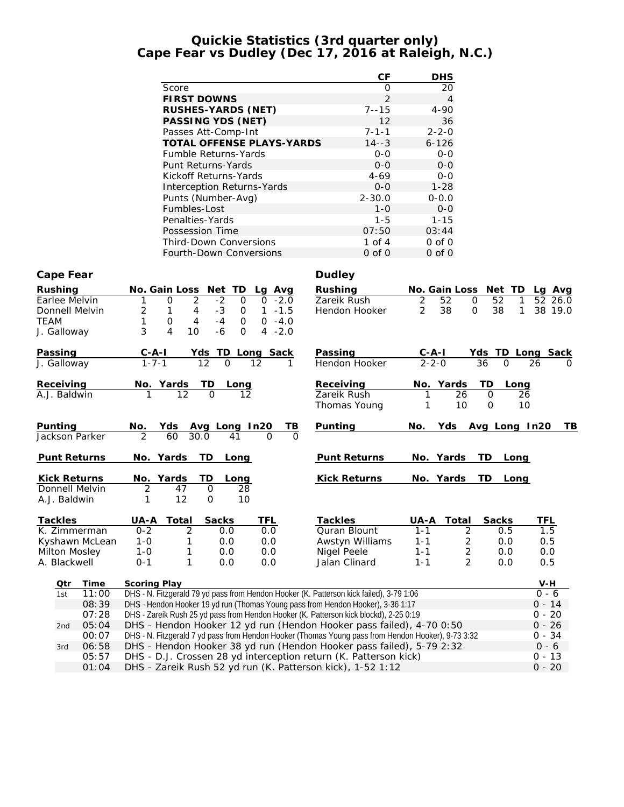#### **Quickie Statistics (3rd quarter only) Cape Fear vs Dudley (Dec 17, 2016 at Raleigh, N.C.)**

|                                       |                                                                                                                                                                            | CF                           | <b>DHS</b>                                       |                                                   |
|---------------------------------------|----------------------------------------------------------------------------------------------------------------------------------------------------------------------------|------------------------------|--------------------------------------------------|---------------------------------------------------|
|                                       | Score                                                                                                                                                                      | $\mathbf 0$                  | 20                                               |                                                   |
|                                       | <b>FIRST DOWNS</b>                                                                                                                                                         | $\overline{2}$               | $\overline{4}$                                   |                                                   |
|                                       | RUSHES-YARDS (NET)                                                                                                                                                         | $7 - 15$                     | $4 - 90$                                         |                                                   |
|                                       | PASSING YDS (NET)                                                                                                                                                          | 12                           | 36                                               |                                                   |
|                                       | Passes Att-Comp-Int                                                                                                                                                        | $7 - 1 - 1$                  | $2 - 2 - 0$                                      |                                                   |
|                                       | TOTAL OFFENSE PLAYS-YARDS<br><b>Fumble Returns-Yards</b>                                                                                                                   | $14 - 3$<br>$O-O$            | $6 - 126$<br>$O-O$                               |                                                   |
|                                       | Punt Returns-Yards                                                                                                                                                         | $0 - 0$                      | $O-O$                                            |                                                   |
|                                       | Kickoff Returns-Yards                                                                                                                                                      | $4 - 69$                     | $O-O$                                            |                                                   |
|                                       | Interception Returns-Yards                                                                                                                                                 | $0 - 0$                      | $1 - 28$                                         |                                                   |
|                                       | Punts (Number-Avg)                                                                                                                                                         | $2 - 30.0$                   | $0 - 0.0$                                        |                                                   |
|                                       | Fumbles-Lost                                                                                                                                                               | $1 - 0$                      | $O-O$                                            |                                                   |
|                                       | Penalties-Yards                                                                                                                                                            | $1 - 5$                      | $1 - 15$                                         |                                                   |
|                                       | Possession Time                                                                                                                                                            | 07:50                        | 03:44                                            |                                                   |
|                                       | Third-Down Conversions                                                                                                                                                     | 1 of $4$                     | $0$ of $0$                                       |                                                   |
|                                       | Fourth-Down Conversions                                                                                                                                                    | $0$ of $0$                   | $0$ of $0$                                       |                                                   |
| Cape Fear                             |                                                                                                                                                                            | Dudley                       |                                                  |                                                   |
| Rushing                               | No. Gain Loss Net TD<br>Lg Avg                                                                                                                                             | Rushing                      | No. Gain Loss Net TD                             | Lg Avg                                            |
| Earlee Melvin                         | 2<br>$-2$<br>$0 -2.0$<br>1<br>0<br>0                                                                                                                                       | Zareik Rush                  | 2<br>52<br>$\mathbf{O}$<br>52                    | 52 26.0<br>1                                      |
| Donnell Melvin                        | 2<br>$-3$<br>$1 - 1.5$<br>1<br>4<br>0                                                                                                                                      | Hendon Hooker                | 2<br>38<br>38<br>0                               | 1<br>38 19.0                                      |
| <b>TEAM</b>                           | $0 - 4.0$<br>0<br>4<br>$-4$<br>1<br>0                                                                                                                                      |                              |                                                  |                                                   |
| J. Galloway                           | 3<br>4<br>$4 - 2.0$<br>10<br>-6<br>0                                                                                                                                       |                              |                                                  |                                                   |
| <u>Passing</u>                        | Yds TD Long Sack<br>12 0 12 1                                                                                                                                              | Passing                      | <u>C-A-I</u><br>2-2-0                            | $\frac{\text{Yds}}{36}$ TD Long Sack<br>36 0 26 0 |
| J. Galloway                           |                                                                                                                                                                            | Hendon Hooker                |                                                  |                                                   |
| Receiving                             | <u>No. Yards TD</u><br>1 12 0<br>$\underline{\hspace{2cm}Long}$                                                                                                            | Receiving                    | Yards<br>TD<br>NO.                               | Long                                              |
| A.J. Baldwin                          |                                                                                                                                                                            | Zareik Rush                  | 26<br>0                                          | 26                                                |
|                                       |                                                                                                                                                                            | Thomas Young                 | 10<br>0<br>1                                     | 10                                                |
| Punting                               | IB.                                                                                                                                                                        | Punting                      | Yds Avg Long In20<br>No.                         | TВ                                                |
| Jackson Parker                        | <u>No. Yds Avg Long In20</u><br>2 60 30.0 41 0<br>$\Omega$                                                                                                                 |                              |                                                  |                                                   |
| Punt Returns                          | No. Yards<br>TD<br>Long                                                                                                                                                    | Punt Returns                 | No. Yards<br>TD                                  | Long                                              |
|                                       |                                                                                                                                                                            |                              |                                                  |                                                   |
| <b>Kick Returns</b><br>Donnell Melvin | No. Yards<br>TD.<br>Long<br>$\overline{2}$<br>47<br>0<br>28                                                                                                                | Kick Returns                 | No. Yards<br>TD.                                 | Long                                              |
| A.J. Baldwin                          | 12<br>10<br>0<br>1                                                                                                                                                         |                              |                                                  |                                                   |
|                                       |                                                                                                                                                                            |                              |                                                  |                                                   |
| <b>Tackles</b>                        | <b>Sacks</b><br><b>TFL</b><br>UA-A Total                                                                                                                                   | <b>Tackles</b>               | Sacks<br>UA-A Total                              | <b>TFL</b>                                        |
| K. Zimmerman                          | $0 - 2$<br>2<br>0.0<br>0.0                                                                                                                                                 | Quran Blount                 | $1 - 1$<br>$\overline{\mathbf{c}}$<br>0.5        | 1.5                                               |
| Kyshawn McLean                        | $1 - 0$<br>1<br>0.0<br>0.0                                                                                                                                                 | Awstyn Williams              | $\overline{2}$<br>$1 - 1$<br>0.0                 | 0.5                                               |
| Milton Mosley                         | $1 - 0$<br>1<br>0.0<br>0.0<br>$0 - 1$<br>1                                                                                                                                 | Nigel Peele<br>Jalan Clinard | 2<br>$1 - 1$<br>0.0<br>$\overline{2}$<br>$1 - 1$ | 0.0                                               |
| A. Blackwell                          | 0.0<br>0.0                                                                                                                                                                 |                              | 0.0                                              | 0.5                                               |
| Time<br>Qtr                           | Scoring Play                                                                                                                                                               |                              |                                                  | $V-H$                                             |
| 11:00<br>1st                          | DHS - N. Fitzgerald 79 yd pass from Hendon Hooker (K. Patterson kick failed), 3-79 1:06                                                                                    |                              |                                                  | $0 - 6$                                           |
| 08:39                                 | DHS - Hendon Hooker 19 yd run (Thomas Young pass from Hendon Hooker), 3-36 1:17                                                                                            |                              |                                                  | $0 - 14$                                          |
| 07:28                                 | DHS - Zareik Rush 25 yd pass from Hendon Hooker (K. Patterson kick blockd), 2-25 0:19                                                                                      |                              |                                                  | $0 - 20$                                          |
| 05:04<br>2nd                          | DHS - Hendon Hooker 12 yd run (Hendon Hooker pass failed), 4-70 0:50                                                                                                       |                              |                                                  | $0 - 26$                                          |
| 00:07                                 | DHS - N. Fitzgerald 7 yd pass from Hendon Hooker (Thomas Young pass from Hendon Hooker), 9-73 3:32<br>DHS - Hendon Hooker 38 yd run (Hendon Hooker pass failed), 5-79 2:32 |                              |                                                  | $0 - 34$                                          |
| 06:58<br>3rd<br>05:57                 | DHS - D.J. Crossen 28 yd interception return (K. Patterson kick)                                                                                                           |                              |                                                  | $0 - 6$<br>$0 - 13$                               |
|                                       |                                                                                                                                                                            |                              |                                                  |                                                   |

01:04 DHS - Zareik Rush 52 yd run (K. Patterson kick), 1-52 1:12 0 - 20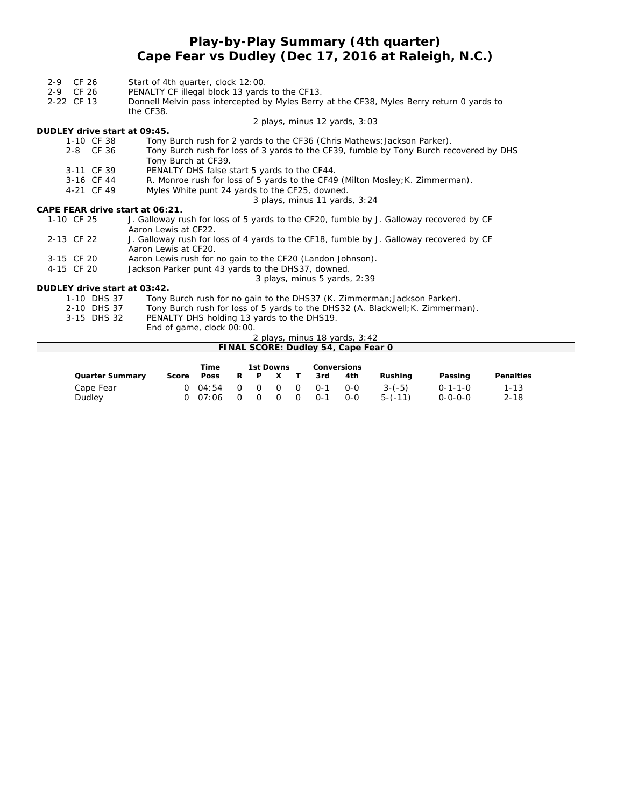## **Play-by-Play Summary (4th quarter) Cape Fear vs Dudley (Dec 17, 2016 at Raleigh, N.C.)**

| CF 26<br>$2 - 9$                | Start of 4th quarter, clock 12:00.                                                                              |
|---------------------------------|-----------------------------------------------------------------------------------------------------------------|
| 2-9 CF 26                       | PENALTY CF illegal block 13 yards to the CF13.                                                                  |
| 2-22 CF 13                      | Donnell Melvin pass intercepted by Myles Berry at the CF38, Myles Berry return 0 yards to                       |
|                                 | the CF38.                                                                                                       |
|                                 | 2 plays, minus 12 yards, 3:03                                                                                   |
| DUDLEY drive start at 09:45.    |                                                                                                                 |
| 1-10 CF 38                      | Tony Burch rush for 2 yards to the CF36 (Chris Mathews; Jackson Parker).                                        |
| 2-8 CF 36                       | Tony Burch rush for loss of 3 yards to the CF39, fumble by Tony Burch recovered by DHS<br>Tony Burch at CF39.   |
| 3-11 CF 39                      | PENALTY DHS false start 5 yards to the CF44.                                                                    |
| 3-16 CF 44                      | R. Monroe rush for loss of 5 yards to the CF49 (Milton Mosley; K. Zimmerman).                                   |
| 4-21 CF 49                      | Myles White punt 24 yards to the CF25, downed.                                                                  |
|                                 | 3 plays, minus 11 yards, 3:24                                                                                   |
| CAPE FEAR drive start at 06:21. |                                                                                                                 |
| 1-10 CF 25                      | J. Galloway rush for loss of 5 yards to the CF20, fumble by J. Galloway recovered by CF<br>Aaron Lewis at CF22. |
| 2-13 CF 22                      | J. Galloway rush for loss of 4 yards to the CF18, fumble by J. Galloway recovered by CF<br>Aaron Lewis at CF20. |
| 3-15 CF 20                      | Aaron Lewis rush for no gain to the CF20 (Landon Johnson).                                                      |
| 4-15 CF 20                      | Jackson Parker punt 43 yards to the DHS37, downed.                                                              |
|                                 | 3 plays, minus 5 yards, 2:39                                                                                    |
| DUDLEY drive start at 03:42.    |                                                                                                                 |
| 1-10 DHS 37                     | Tony Burch rush for no gain to the DHS37 (K. Zimmerman; Jackson Parker).                                        |
| 2-10 DHS 37                     | Tony Burch rush for loss of 5 yards to the DHS32 (A. Blackwell; K. Zimmerman).                                  |
| 3-15 DHS 32                     | PENALTY DHS holding 13 yards to the DHS19.                                                                      |
|                                 | End of game, clock 00:00.                                                                                       |
|                                 | 2 plays, minus 18 yards, 3:42                                                                                   |
|                                 | FINAL SCORE: Dudley 54, Cape Fear 0                                                                             |

|                 |       | Time  |          | 1st Downs      |          |          |         | Conversions |           |                 |           |
|-----------------|-------|-------|----------|----------------|----------|----------|---------|-------------|-----------|-----------------|-----------|
| Quarter Summary | Score | Poss  |          |                |          |          | 3rd     | 4th         | Rushina   | Passing         | Penalties |
| Cape Fear       | ∩     | 04:54 | $\Omega$ | $\overline{0}$ | $\Omega$ | $\Omega$ | $O - 1$ | $O-O$       | $3-(-5)$  | $0 - 1 - 1 - 0$ | $1 - 13$  |
| Dudley          | ∩     | 07:06 | $\Omega$ | $\Omega$       |          | $\Omega$ | $0 - 1$ | $0 - 0$     | $5-(-11)$ | $0 - 0 - 0 - 0$ | $2 - 18$  |